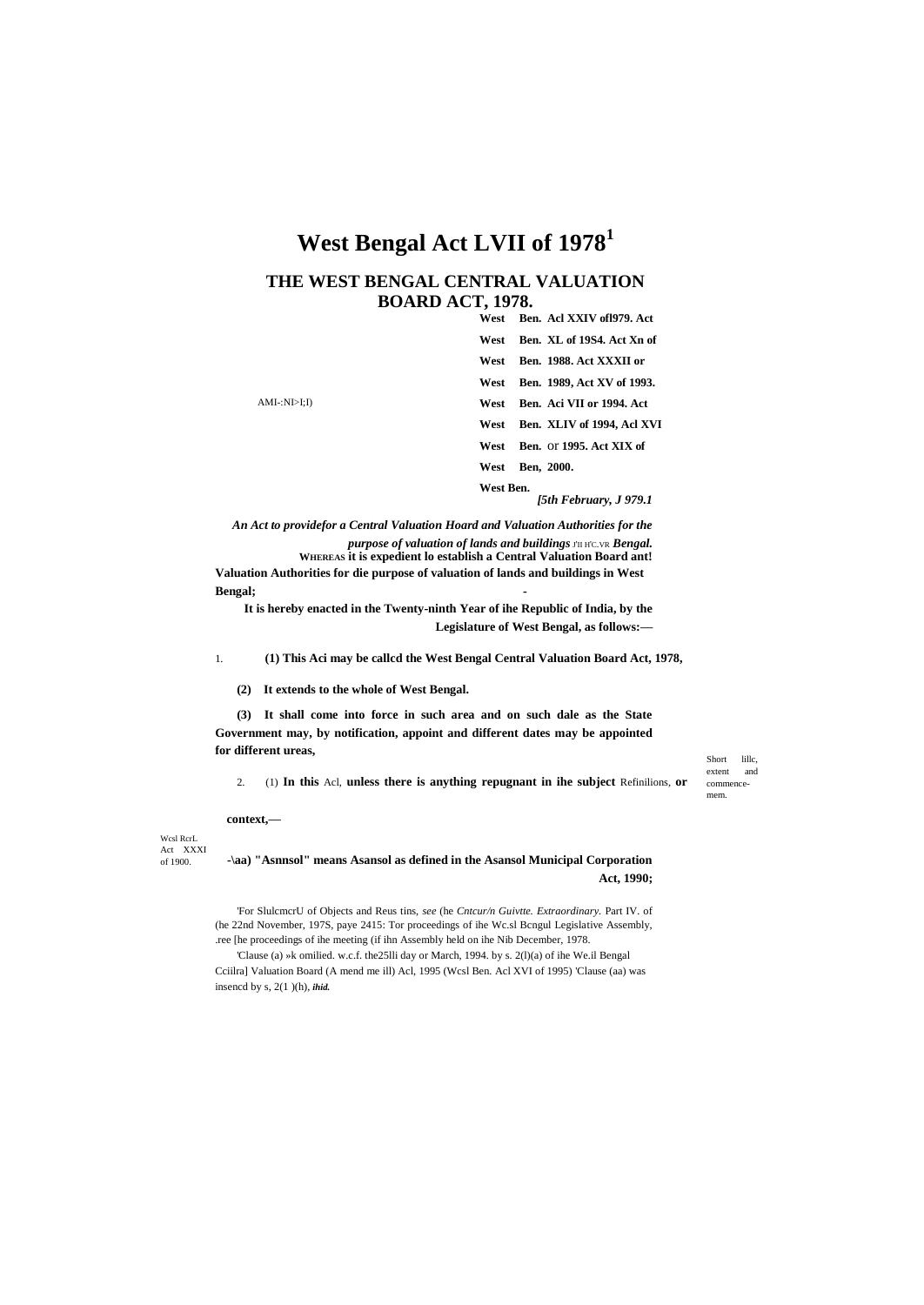# West Bengal Act LVII of 1978<sup>1</sup>

#### THE WEST BENGAL CENTRAL VALUATION **BOARD ACT, 1978.**  $\overline{A}$  of  $\overline{V}$   $\overline{V}$   $\overline{V}$   $\overline{V}$   $\overline{V}$   $\overline{V}$   $\overline{V}$   $\overline{V}$   $\overline{V}$   $\overline{V}$   $\overline{V}$   $\overline{V}$   $\overline{V}$   $\overline{V}$   $\overline{V}$   $\overline{V}$   $\overline{V}$   $\overline{V}$   $\overline{V}$   $\overline{V}$   $\overline{V}$   $\overline{V}$   $\overline{V}$   $\$

|             | w est<br>- Ben. ACI AATV 011979. ACU |
|-------------|--------------------------------------|
|             | Ben. XL of 19S4. Act Xn of<br>West   |
|             | Ben. 1988. Act XXXII or<br>West      |
|             | Ben. 1989, Act XV of 1993.<br>West   |
| AMI:NI>I;I) | Ben. Aci VII or 1994. Act<br>West    |
|             | Ben. XLIV of 1994, Acl XVI<br>West   |
|             | Ben. or 1995. Act XIX of<br>West     |
|             | Ben, 2000.<br>West                   |
|             | West Ben.<br>[5th Februarv. J 979.1  |

An Act to providefor a Central Valuation Hoard and Valuation Authorities for the purpose of valuation of lands and buildings J'II H'C.VR Bengal. WHEREAS it is expedient lo establish a Central Valuation Board ant! Valuation Authorities for die purpose of valuation of lands and buildings in West Bengal;

It is hereby enacted in the Twenty-ninth Year of ihe Republic of India, by the Legislature of West Bengal, as follows:-

(1) This Aci may be called the West Bengal Central Valuation Board Act, 1978,  $\mathbf{1}$ 

(2) It extends to the whole of West Bengal.

(3) It shall come into force in such area and on such dale as the State Government may, by notification, appoint and different dates may be appointed for different ureas,

(1) In this Acl, unless there is anything repugnant in ihe subject Refinitions, or  $2.$ 

Short lille. extent and commencemem.

context.-

Wesl RerL Act XXXI  $of 1900.$ 

-\aa) "Asnnsol" means Asansol as defined in the Asansol Municipal Corporation Act, 1990;

For SlulcmcrU of Objects and Reus tins, see (he Cntcur/n Guivtte. Extraordinary. Part IV. of (he 22nd November, 197S, paye 2415: Tor proceedings of ihe Wc.sl Bcngul Legislative Assembly, .ree [he proceedings of ihe meeting (if ihn Assembly held on ihe Nib December, 1978.

'Clause (a) »k omilied. w.c.f. the 25lli day or March, 1994. by s. 2(l)(a) of ihe We.il Bengal Cciilra] Valuation Board (A mend me ill) Acl, 1995 (Wcsl Ben. Acl XVI of 1995) 'Clause (aa) was insencd by  $s$ ,  $2(1)(h)$ , ihid.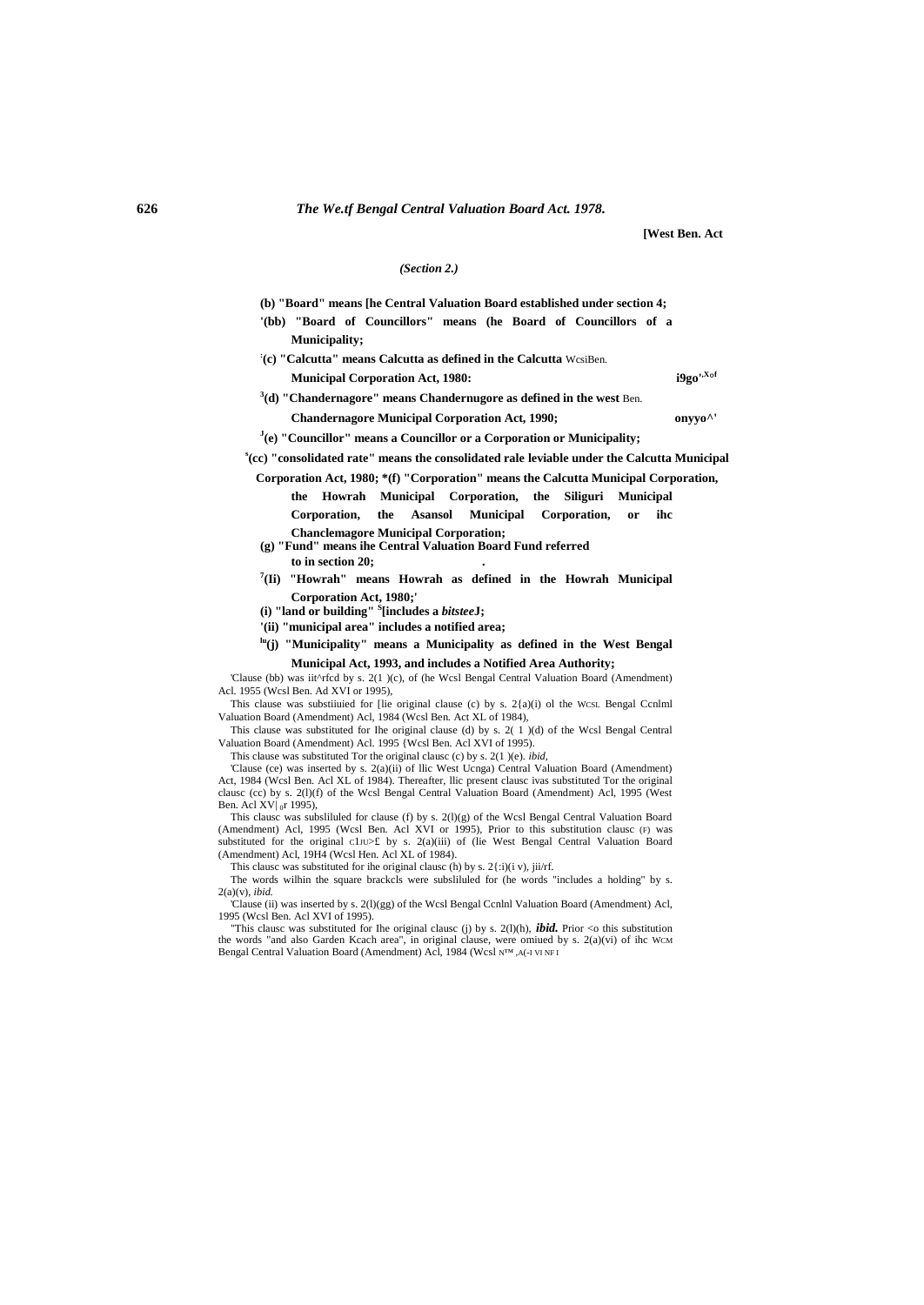**[West Ben. Act**

i9go',Xof

#### *(Section 2.)*

- **(b) "Board" means [he Central Valuation Board established under section 4; '(bb) "Board of Councillors" means (he Board of Councillors of a** 
	- **Municipality;**
- **: (c) "Calcutta" means Calcutta as defined in the Calcutta** WcsiBen.

**Municipal Corporation Act, 1980:** 

**3 (d) "Chandernagore" means Chandernugore as defined in the west** Ben.

**Chandernagore Municipal Corporation Act, 1990; onyyo^'**

**J (e) "Councillor" means a Councillor or a Corporation or Municipality;**

**s (cc) "consolidated rate" means the consolidated rale leviable under the Calcutta Municipal** 

- **Corporation Act, 1980; \*(f) "Corporation" means the Calcutta Municipal Corporation, the Howrah Municipal Corporation, the Siliguri Municipal Corporation, the Asansol Municipal Corporation, or ihc Chanclemagore Municipal Corporation;**
- **(g) "Fund" means ihe Central Valuation Board Fund referred to in section 20; .**
- **7 (Ii) "Howrah" means Howrah as defined in the Howrah Municipal Corporation Act, 1980;'**

**(i) "land or building" <sup>S</sup> [includes a** *bitstee***J;**

**'(ii) "municipal area" includes a notified area;**

**lu(j) "Municipality" means a Municipality as defined in the West Bengal Municipal Act, 1993, and includes a Notified Area Authority;**

'Clause (bb) was iit^rfcd by s. 2(1 )(c), of (he Wcsl Bengal Central Valuation Board (Amendment) Acl. 1955 (Wcsl Ben. Ad XVI or 1995),

This clause was substiiuied for [lie original clause (c) by s. 2{a)(i) ol the WCSL Bengal Ccnlml Valuation Board (Amendment) Acl, 1984 (Wcsl Ben. Act XL of 1984),

This clause was substituted for Ihe original clause (d) by s. 2( 1 )(d) of the Wcsl Bengal Central Valuation Board (Amendment) Acl. 1995 {Wcsl Ben. Acl XVI of 1995).

This clause was substituted Tor the original clausc (c) by s. 2(1 )(e). *ibid,*

'Clause (ce) was inserted by s. 2(a)(ii) of llic West Ucnga) Central Valuation Board (Amendment) Act, 1984 (Wcsl Ben. Acl XL of 1984). Thereafter, llic present clausc ivas substituted Tor the original clausc (cc) by s. 2(l)(f) of the Wcsl Bengal Central Valuation Board (Amendment) Acl, 1995 (West Ben. Acl XV $|_{0}r$  1995),

This clausc was subsliluled for clause (f) by s. 2(l)(g) of the Wcsl Bengal Central Valuation Board (Amendment) Acl, 1995 (Wcsl Ben. Acl XVI or 1995), Prior to this substitution clausc (F) was substituted for the original C1JU>£ by s. 2(a)(iii) of (lie West Bengal Central Valuation Board (Amendment) Acl, 19H4 (Wcsl Hen. Acl XL of 1984).

This clausc was substituted for ihe original clausc (h) by s.  $2\{\text{i})(i \text{ y})$ ,  $\text{iii/rf}$ . The words wilhin the square brackcls were subsliluled for (he words "includes a holding" by s. 2(a)(v), *ibid.*

'Clause (ii) was inserted by s. 2(l)(gg) of the Wcsl Bengal Ccnlnl Valuation Board (Amendment) Acl,

1995 (Wcsl Ben. Acl XVI of 1995). "This clausc was substituted for Ihe original clausc (j) by s. 2(l)(h), *ibid.* Prior <o this substitution the words "and also Garden Kcach area", in original clause, were omiued by s. 2(a)(vi) of ihc WCM Bengal Central Valuation Board (Amendment) Acl, 1984 (Wcsl N™, A(-I VI NF I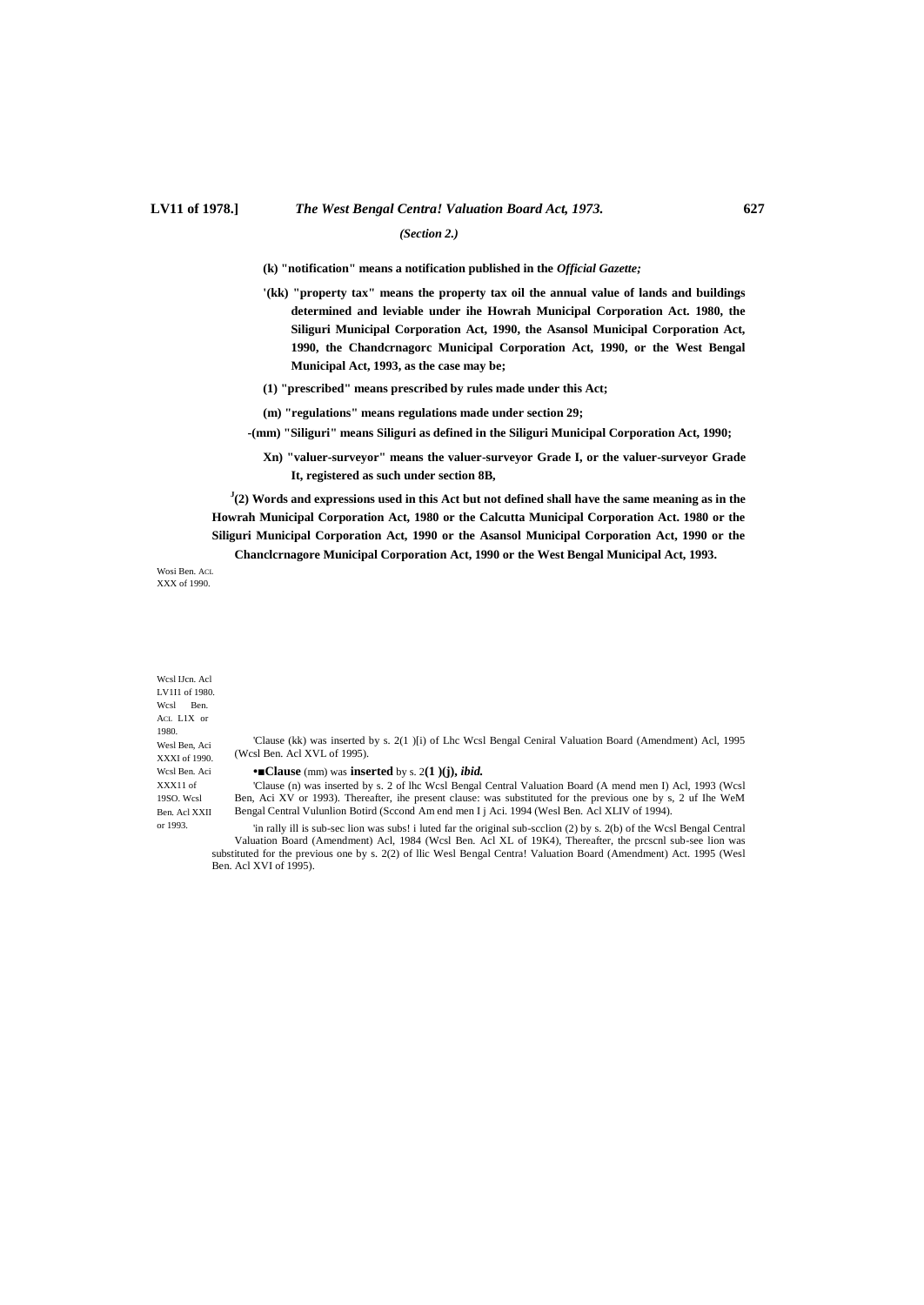# **LV11 of 1978.]** *The West Bengal Centra! Valuation Board Act, 1973.* **627** *(Section 2.)*

**(k) "notification" means a notification published in the** *Official Gazette;*

- **'(kk) "property tax" means the property tax oil the annual value of lands and buildings determined and leviable under ihe Howrah Municipal Corporation Act. 1980, the Siliguri Municipal Corporation Act, 1990, the Asansol Municipal Corporation Act, 1990, the Chandcrnagorc Municipal Corporation Act, 1990, or the West Bengal Municipal Act, 1993, as the case may be;**
- **(1) "prescribed" means prescribed by rules made under this Act;**
- **(m) "regulations" means regulations made under section 29;**
- **-(mm) "Siliguri" means Siliguri as defined in the Siliguri Municipal Corporation Act, 1990;**
	- **Xn) "valuer-surveyor" means the valuer-surveyor Grade I, or the valuer-surveyor Grade It, registered as such under section 8B,**

**J (2) Words and expressions used in this Act but not defined shall have the same meaning as in the Howrah Municipal Corporation Act, 1980 or the Calcutta Municipal Corporation Act. 1980 or the Siliguri Municipal Corporation Act, 1990 or the Asansol Municipal Corporation Act, 1990 or the Chanclcrnagore Municipal Corporation Act, 1990 or the West Bengal Municipal Act, 1993.**

Wosi Ben. ACL XXX of 1990.

Wcsl IJcn. Acl LV1I1 of 1980. Wcsl Ben. ACL L1X or 1980. Wesl Ben, Aci XXXI of 1990. Wcsl Ben. Aci XXX11 of 19SO. Wcsl Ben. Acl XXII or 1993.

'Clause (kk) was inserted by s. 2(1 )[i) of Lhc Wcsl Bengal Ceniral Valuation Board (Amendment) Acl, 1995 (Wcsl Ben. Acl XVL of 1995).

#### **•■Clause** (mm) was **inserted** by s. 2**(1 )(j),** *ibid.*

'Clause (n) was inserted by s. 2 of lhc Wcsl Bengal Central Valuation Board (A mend men I) Acl, 1993 (Wcsl Ben, Aci XV or 1993). Thereafter, ihe present clause: was substituted for the previous one by s, 2 uf Ihe WeM Bengal Central Vulunlion Botird (Sccond Am end men I j Aci. 1994 (Wesl Ben. Acl XLIV of 1994).

'in rally ill is sub-sec lion was subs! i luted far the original sub-scclion (2) by s. 2(b) of the Wcsl Bengal Central Valuation Board (Amendment) Acl, 1984 (Wcsl Ben. Acl XL of 19K4), Thereafter, the prcscnl sub-see lion was substituted for the previous one by s. 2(2) of llic Wesl Bengal Centra! Valuation Board (Amendment) Act. 1995 (Wesl Ben. Acl XVI of 1995).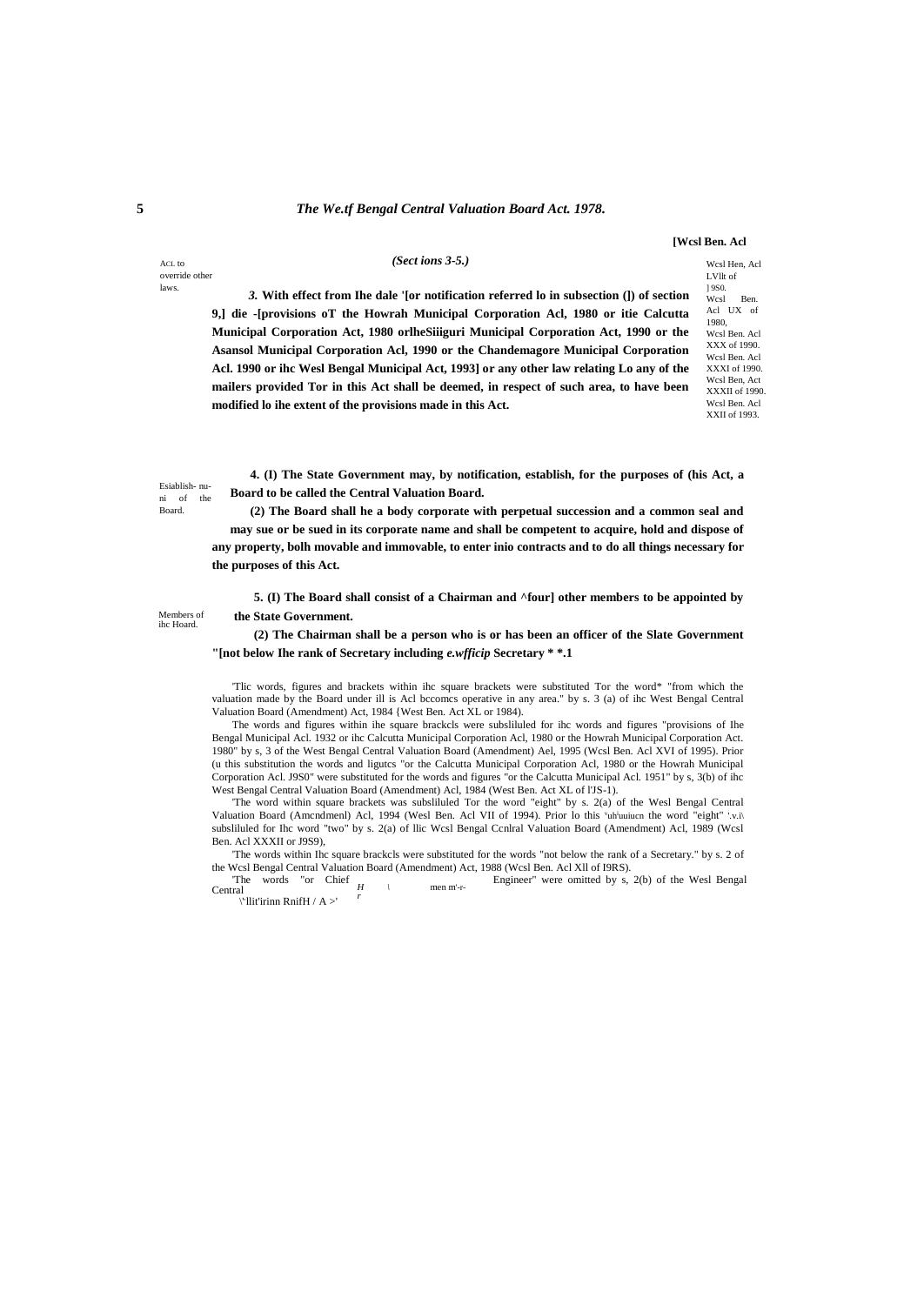### **5** *The We.tf Bengal Central Valuation Board Act. 1978.*

*(Sect ions 3-5.)*

**[Wcsl Ben. Acl**

Wcsl Hen, Acl LVllt of ] 9S0.

ACL to override other laws.

*3.* **With effect from Ihe dale '[or notification referred lo in subsection (]) of section 9,] die -[provisions oT the Howrah Municipal Corporation Acl, 1980 or itie Calcutta Municipal Corporation Act, 1980 orlheSiiiguri Municipal Corporation Act, 1990 or the Asansol Municipal Corporation Acl, 1990 or the Chandemagore Municipal Corporation Acl. 1990 or ihc Wesl Bengal Municipal Act, 1993] or any other law relating Lo any of the mailers provided Tor in this Act shall be deemed, in respect of such area, to have been modified lo ihe extent of the provisions made in this Act.**

Wcsl Ben. Acl UX of 1980, Wcsl Ben. Acl XXX of 1990. Wcsl Ben. Acl XXXI of 1990. Wcsl Ben, Act XXXII of 1990. Wcsl Ben. Acl XXII of 1993.

Esiablish- nuni of the Board.

**4. (I) The State Government may, by notification, establish, for the purposes of (his Act, a Board to be called the Central Valuation Board.**

**(2) The Board shall he a body corporate with perpetual succession and a common seal and may sue or be sued in its corporate name and shall be competent to acquire, hold and dispose of any property, bolh movable and immovable, to enter inio contracts and to do all things necessary for the purposes of this Act.**

Members of ihc Hoard.

**5. (I) The Board shall consist of a Chairman and ^four] other members to be appointed by the State Government.**

**(2) The Chairman shall be a person who is or has been an officer of the Slate Government "[not below Ihe rank of Secretary including** *e.wfficip* **Secretary \* \*.1**

'Tlic words, figures and brackets within ihc square brackets were substituted Tor the word\* "from which the valuation made by the Board under ill is Acl bccomcs operative in any area." by s. 3 (a) of ihc West Bengal Central Valuation Board (Amendment) Act, 1984 {West Ben. Act XL or 1984).

The words and figures within ihe square brackcls were subsliluled for ihc words and figures "provisions of Ihe Bengal Municipal Acl. 1932 or ihc Calcutta Municipal Corporation Acl, 1980 or the Howrah Municipal Corporation Act. 1980" by s, 3 of the West Bengal Central Valuation Board (Amendment) Ael, 1995 (Wcsl Ben. Acl XVI of 1995). Prior (u this substitution the words and ligutcs "or the Calcutta Municipal Corporation Acl, 1980 or the Howrah Municipal Corporation Acl. J9S0" were substituted for the words and figures "or the Calcutta Municipal Acl. 1951" by s, 3(b) of ihc West Bengal Central Valuation Board (Amendment) Acl, 1984 (West Ben. Act XL of l'JS-1).

'The word within square brackets was subsliluled Tor the word "eight" by s. 2(a) of the Wesl Bengal Central Valuation Board (Amcndmenl) Acl, 1994 (Wesl Ben. Acl VII of 1994). Prior lo this 'uh<sup>i</sup>uuiucn the word "eight" '.v.i\ subsliluled for Ihc word "two" by s. 2(a) of llic Wcsl Bengal Ccnlral Valuation Board (Amendment) Acl, 1989 (Wcsl Ben. Acl XXXII or J9S9),

'The words within Ihc square brackcls were substituted for the words "not below the rank of a Secretary." by s. 2 of the Wcsl Bengal Central Valuation Board (Amendment) Act, 1988 (Wcsl Ben. Acl Xll of I9RS).

The words "or Chief  $\frac{H}{H}$  \\ *r* men m'-r- Engineer" were omitted by s, 2(b) of the Wesl Bengal Central

\' , llit'irinn RnifH / A >'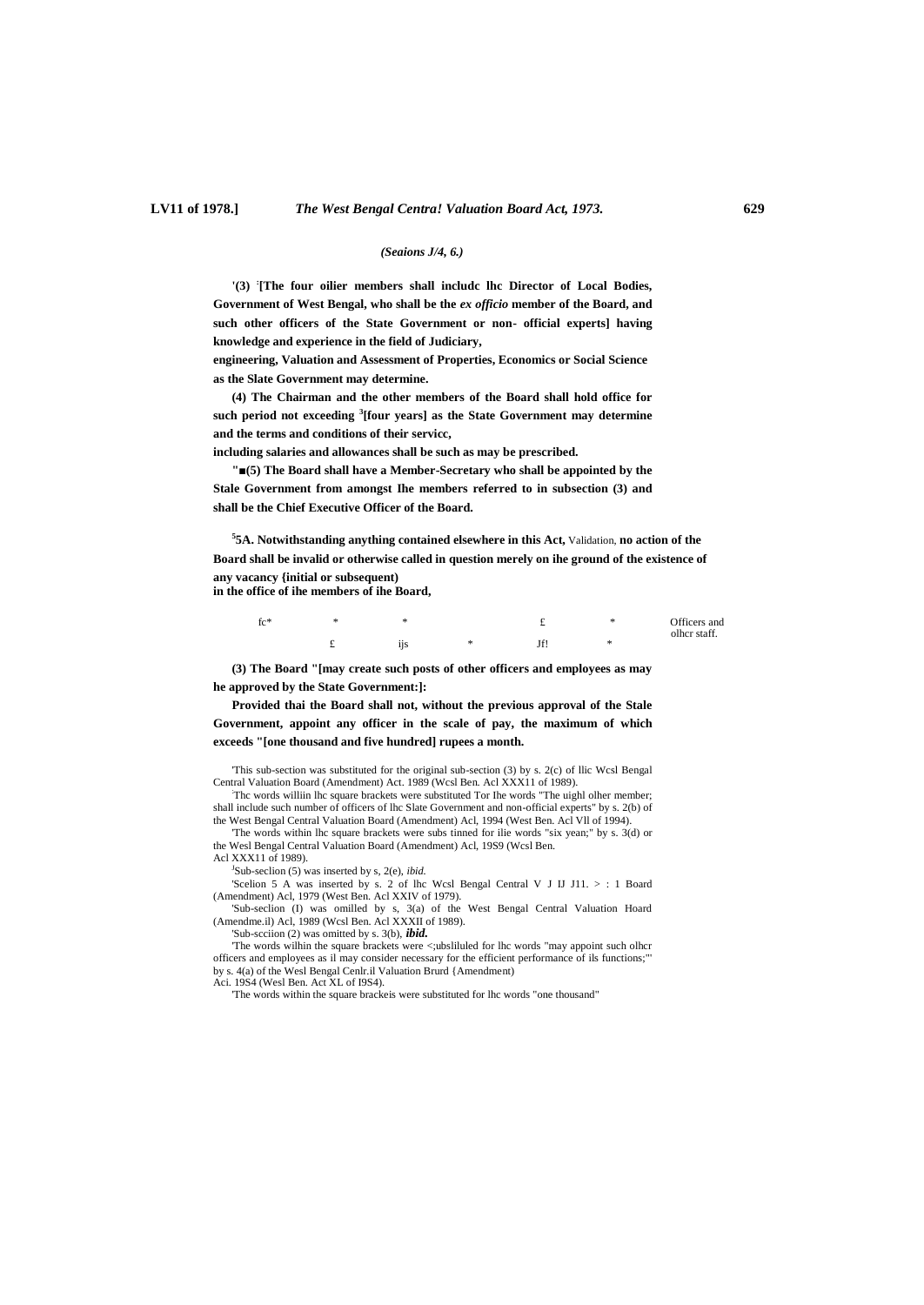#### *(Seaions J/4, 6.)*

**'(3) : [The four oilier members shall includc lhc Director of Local Bodies, Government of West Bengal, who shall be the** *ex officio* **member of the Board, and such other officers of the State Government or non- official experts] having knowledge and experience in the field of Judiciary,**

**engineering, Valuation and Assessment of Properties, Economics or Social Science as the Slate Government may determine.**

**(4) The Chairman and the other members of the Board shall hold office for such period not exceeding <sup>3</sup> [four years] as the State Government may determine and the terms and conditions of their servicc,**

**including salaries and allowances shall be such as may be prescribed.**

**"■(5) The Board shall have a Member-Secretary who shall be appointed by the Stale Government from amongst Ihe members referred to in subsection (3) and shall be the Chief Executive Officer of the Board.**

**5 5A. Notwithstanding anything contained elsewhere in this Act,** Validation, **no action of the Board shall be invalid or otherwise called in question merely on ihe ground of the existence of any vacancy {initial or subsequent) in the office of ihe members of ihe Board,**

| $fc*$ | ÷              |        | ÷. | Officers and |
|-------|----------------|--------|----|--------------|
|       | $\cdot$<br>11S | Abraha | ÷  | olher staff. |

**(3) The Board "[may create such posts of other officers and employees as may he approved by the State Government:]:**

**Provided thai the Board shall not, without the previous approval of the Stale Government, appoint any officer in the scale of pay, the maximum of which exceeds "[one thousand and five hundred] rupees a month.**

'This sub-section was substituted for the original sub-section (3) by s. 2(c) of llic Wcsl Bengal Central Valuation Board (Amendment) Act. 1989 (Wcsl Ben. Acl XXX11 of 1989).

:Thc words williin lhc square brackets were substituted Tor Ihe words "The uighl olher member; shall include such number of officers of lhc Slate Government and non-official experts" by s. 2(b) of the West Bengal Central Valuation Board (Amendment) Acl, 1994 (West Ben. Acl Vll of 1994).

'The words within lhc square brackets were subs tinned for ilie words "six yean;" by s. 3(d) or the Wesl Bengal Central Valuation Board (Amendment) Acl, 19S9 (Wcsl Ben. Acl XXX11 of 1989).

J Sub-seclion (5) was inserted by s, 2(e), *ibid.*

'Scelion 5 A was inserted by s. 2 of lhc Wcsl Bengal Central V J IJ J11. > : 1 Board (Amendment) Acl, 1979 (West Ben. Acl XXIV of 1979).

'Sub-seclion (I) was omilled by s, 3(a) of the West Bengal Central Valuation Hoard (Amendme.il) Acl, 1989 (Wcsl Ben. Acl XXXII of 1989).

'Sub-scciion (2) was omitted by s. 3(b), *ibid.*

'The words wilhin the square brackets were <;ubsliluled for lhc words "may appoint such olhcr officers and employees as il may consider necessary for the efficient performance of ils functions;"' by s. 4(a) of the Wesl Bengal Cenlr.il Valuation Brurd {Amendment)

Aci. 19S4 (Wesl Ben. Act XL of I9S4).

'The words within the square brackeis were substituted for lhc words "one thousand"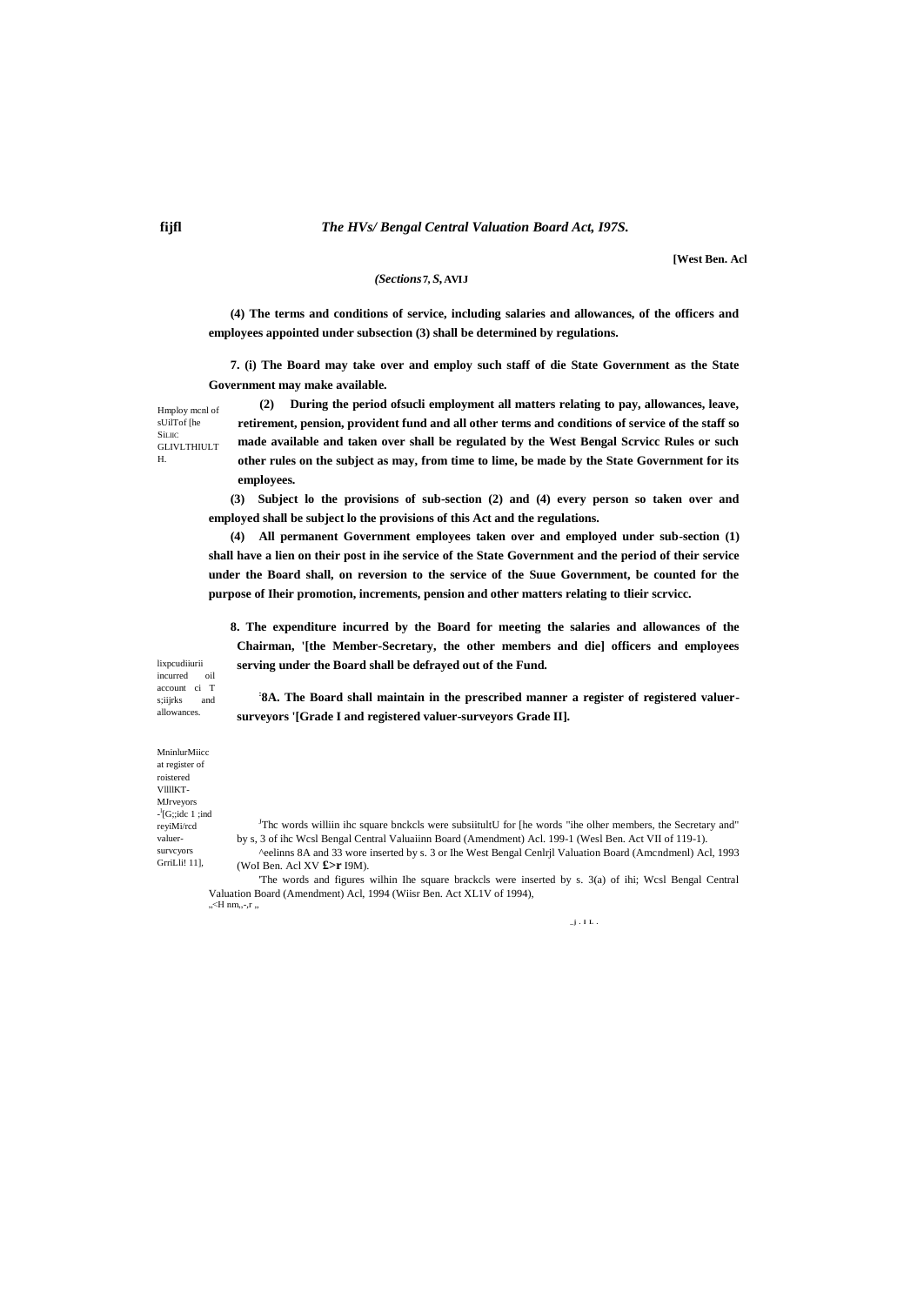#### The HVs/ Bengal Central Valuation Board Act, 197S.

[West Ben. Acl

## (Sections 7, S, AVIJ

(4) The terms and conditions of service, including salaries and allowances, of the officers and employees appointed under subsection (3) shall be determined by regulations.

7. (i) The Board may take over and employ such staff of die State Government as the State Government may make available.

(2) During the period of sucli employment all matters relating to pay, allowances, leave, retirement, pension, provident fund and all other terms and conditions of service of the staff so made available and taken over shall be regulated by the West Bengal Scrvicc Rules or such other rules on the subject as may, from time to lime, be made by the State Government for its employees.

(3) Subject lo the provisions of sub-section (2) and (4) every person so taken over and employed shall be subject lo the provisions of this Act and the regulations.

(4) All permanent Government employees taken over and employed under sub-section (1) shall have a lien on their post in ihe service of the State Government and the period of their service under the Board shall, on reversion to the service of the Suue Government, be counted for the purpose of Iheir promotion, increments, pension and other matters relating to tlieir scrvicc.

8. The expenditure incurred by the Board for meeting the salaries and allowances of the Chairman, '[the Member-Secretary, the other members and die] officers and employees serving under the Board shall be defrayed out of the Fund.

lixpcudiiurii oil incurred account ci T s;iijrks and allowances.

'8A. The Board shall maintain in the prescribed manner a register of registered valuersurveyors '[Grade I and registered valuer-surveyors Grade II].

MninlurMiicc at register of roistered<br>VIIIIKT-MJrveyors  $\frac{1}{2}$ [G;;idc 1 ;ind reyiMi/rcd valuersurveyors GrriLli! 111.

<sup>J</sup>The words williin ihe square bnekels were subsiitultU for [he words "ihe olher members, the Secretary and" by s, 3 of ihc Wcsl Bengal Central Valuaiinn Board (Amendment) Acl. 199-1 (Wesl Ben. Act VII of 119-1).

^eelinns 8A and 33 wore inserted by s. 3 or Ihe West Bengal Cenlrjl Valuation Board (Amcndmenl) Acl, 1993 (Wol Ben. Acl XV £>r I9M).

The words and figures wilhin Ihe square brackels were inserted by s. 3(a) of ihi; Wesl Bengal Central Valuation Board (Amendment) Acl, 1994 (Wiisr Ben. Act XL1V of 1994),  $K = H \cdot m, -r$ 

 $\overline{\mathbf{j}}$  . I.L.

Hmploy mcnl of sUilTof [he

**GLIVLTHIULT**  $\mathbf{H}$ 

**Sillic**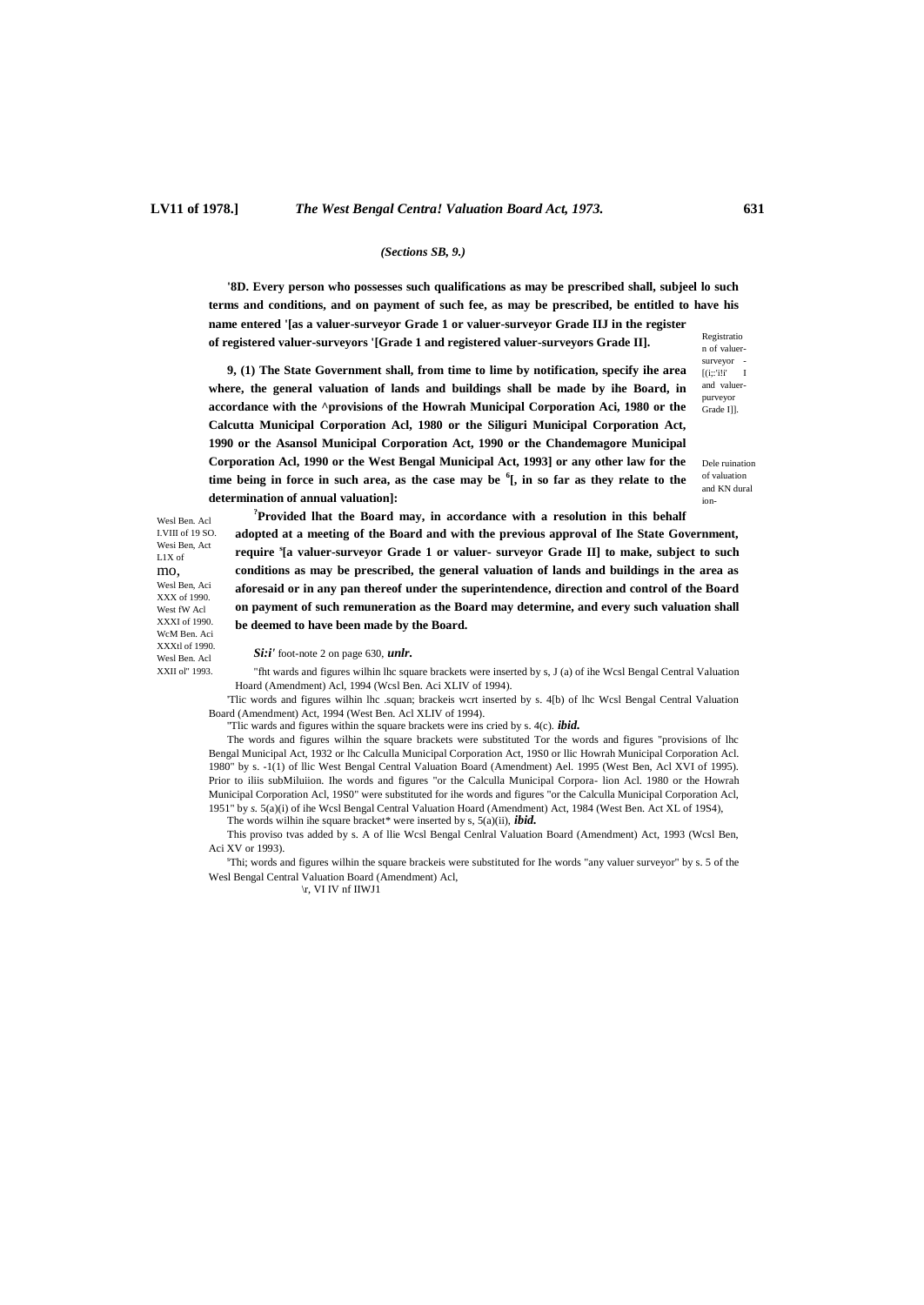#### *(Sections SB, 9.)*

**'8D. Every person who possesses such qualifications as may be prescribed shall, subjeel lo such terms and conditions, and on payment of such fee, as may be prescribed, be entitled to have his name entered '[as a valuer-surveyor Grade 1 or valuer-surveyor Grade IIJ in the register** 

**of registered valuer-surveyors '[Grade 1 and registered valuer-surveyors Grade II].**

Registratio n of valuersurveyor -  $[(i;i)]$ <sup> $\cdot$ </sup> I and valuerpurveyor Grade I]].

**9, (1) The State Government shall, from time to lime by notification, specify ihe area where, the general valuation of lands and buildings shall be made by ihe Board, in accordance with the ^provisions of the Howrah Municipal Corporation Aci, 1980 or the Calcutta Municipal Corporation Acl, 1980 or the Siliguri Municipal Corporation Act, 1990 or the Asansol Municipal Corporation Act, 1990 or the Chandemagore Municipal Corporation Acl, 1990 or the West Bengal Municipal Act, 1993] or any other law for the time being in force in such area, as the case may be <sup>6</sup> [, in so far as they relate to the determination of annual valuation]:**

Dele ruination of valuation and KN dural ion-

Wesl Ben. Acl I.VIII of 19 SO. Wesi Ben, Act L1X of mo, Wesl Ben, Aci XXX of 1990. West fW Acl XXXI of 1990. WcM Ben. Aci XXXtl of 1990. Wesl Ben. Acl XXII ol" 1993.

**?Provided lhat the Board may, in accordance with a resolution in this behalf adopted at a meeting of the Board and with the previous approval of Ihe State Government, require <sup>s</sup> [a valuer-surveyor Grade 1 or valuer- surveyor Grade II] to make, subject to such conditions as may be prescribed, the general valuation of lands and buildings in the area as aforesaid or in any pan thereof under the superintendence, direction and control of the Board on payment of such remuneration as the Board may determine, and every such valuation shall be deemed to have been made by the Board.**

*Si:i'* foot-note 2 on page 630, *unlr.*

"fht wards and figures wilhin lhc square brackets were inserted by s, J (a) of ihe Wcsl Bengal Central Valuation Hoard (Amendment) Acl, 1994 (Wcsl Ben. Aci XLIV of 1994).

'Tlic words and figures wilhin lhc .squan; brackeis wcrt inserted by s. 4[b) of lhc Wcsl Bengal Central Valuation Board (Amendment) Act, 1994 (West Ben. Acl XLIV of 1994).

''Tlic wards and figures within the square brackets were ins cried by s. 4(c). *ibid.*

The words and figures wilhin the square brackets were substituted Tor the words and figures "provisions of lhc Bengal Municipal Act, 1932 or lhc Calculla Municipal Corporation Act, 19S0 or llic Howrah Municipal Corporation Acl. 1980" by s. -1(1) of llic West Bengal Central Valuation Board (Amendment) Ael. 1995 (West Ben, Acl XVI of 1995). Prior to iliis subMiluiion. Ihe words and figures "or the Calculla Municipal Corpora- lion Acl. 1980 or the Howrah Municipal Corporation Acl, 19S0" were substituted for ihe words and figures "or the Calculla Municipal Corporation Acl, 1951" by *s.* 5(a)(i) of ihe Wcsl Bengal Central Valuation Hoard (Amendment) Act, 1984 (West Ben. Act XL of 19S4),

The words wilhin ihe square bracket\* were inserted by s, 5(a)(ii), *ibid.*

This proviso tvas added by s. A of llie Wcsl Bengal Cenlral Valuation Board (Amendment) Act, 1993 (Wcsl Ben, Aci XV or 1993).

<sup>s</sup>Thi; words and figures wilhin the square brackeis were substituted for Ihe words "any valuer surveyor" by s. 5 of the Wesl Bengal Central Valuation Board (Amendment) Acl,

\r, VI IV nf IIWJ1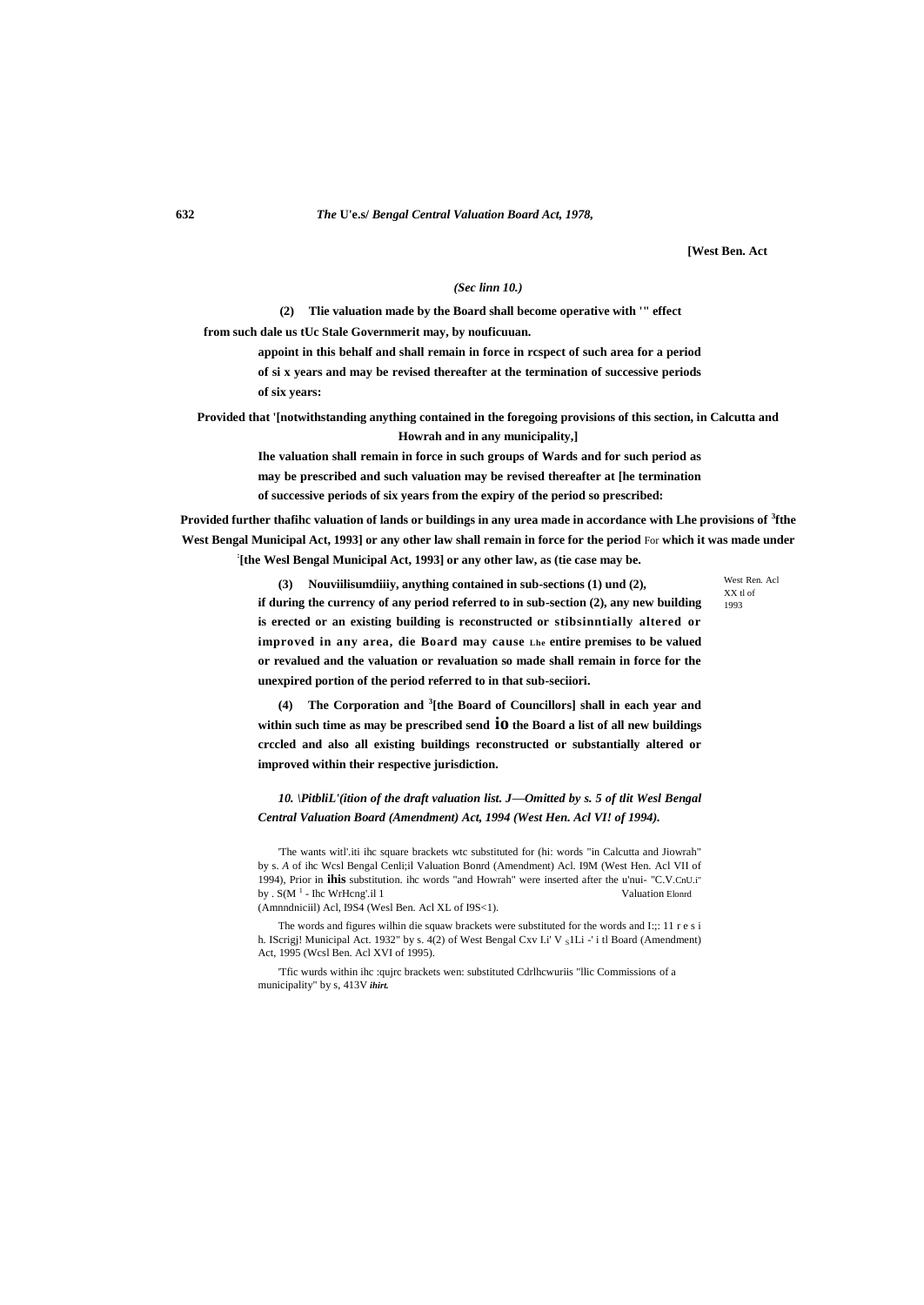#### **632** *The* **U'e.s/** *Bengal Central Valuation Board Act, 1978,*

**[West Ben. Act**

#### *(Sec linn 10.)*

**(2) Tlie valuation made by the Board shall become operative with '" effect from such dale us tUc Stale Governmerit may, by nouficuuan.**

> **appoint in this behalf and shall remain in force in rcspect of such area for a period of si x years and may be revised thereafter at the termination of successive periods of six years:**

**Provided that '[notwithstanding anything contained in the foregoing provisions of this section, in Calcutta and Howrah and in any municipality,]**

> **Ihe valuation shall remain in force in such groups of Wards and for such period as may be prescribed and such valuation may be revised thereafter at [he termination of successive periods of six years from the expiry of the period so prescribed:**

**Provided further thafihc valuation of lands or buildings in any urea made in accordance with Lhe provisions of <sup>3</sup> fthe West Bengal Municipal Act, 1993] or any other law shall remain in force for the period** For **which it was made under : [the Wesl Bengal Municipal Act, 1993] or any other law, as (tie case may be.**

West Ren. Acl XX tl of 1993

**(3) Nouviilisumdiiiy, anything contained in sub-sections (1) und (2), if during the currency of any period referred to in sub-section (2), any new building is erected or an existing building is reconstructed or stibsinntially altered or improved in any area, die Board may cause Lhe entire premises to be valued or revalued and the valuation or revaluation so made shall remain in force for the unexpired portion of the period referred to in that sub-seciiori.**

**(4) The Corporation and <sup>3</sup> [the Board of Councillors] shall in each year and within such time as may be prescribed send io the Board a list of all new buildings crccled and also all existing buildings reconstructed or substantially altered or improved within their respective jurisdiction.**

*10. \PitbliL'(ition of the draft valuation list. J—Omitted by s. 5 of tlit Wesl Bengal Central Valuation Board (Amendment) Act, 1994 (West Hen. Acl VI! of 1994).*

'The wants witl'.iti ihc square brackets wtc substituted for (hi: words "in Calcutta and Jiowrah" by s. *A* of ihc Wcsl Bengal Cenli;il Valuation Bonrd (Amendment) Acl. I9M (West Hen. Acl VII of 1994), Prior in **ihis** substitution. ihc words "and Howrah" were inserted after the u'nui- "C.V.CnU.i" by .  $S(M^1 - \text{Ihc WrHcng'.i11$ 

(Amnndniciil) Acl, I9S4 (Wesl Ben. Acl XL of I9S<1).

The words and figures wilhin die squaw brackets were substituted for the words and I:;: 11 r e s i h. IScrigj! Municipal Act. 1932" by s. 4(2) of West Bengal Cxv I.i' V slLi -' i tl Board (Amendment) Act, 1995 (Wcsl Ben. Acl XVI of 1995).

'Tfic wurds within ihc :qujrc brackets wen: substituted Cdrlhcwuriis "llic Commissions of a municipality" by s, 413V *ihirt.*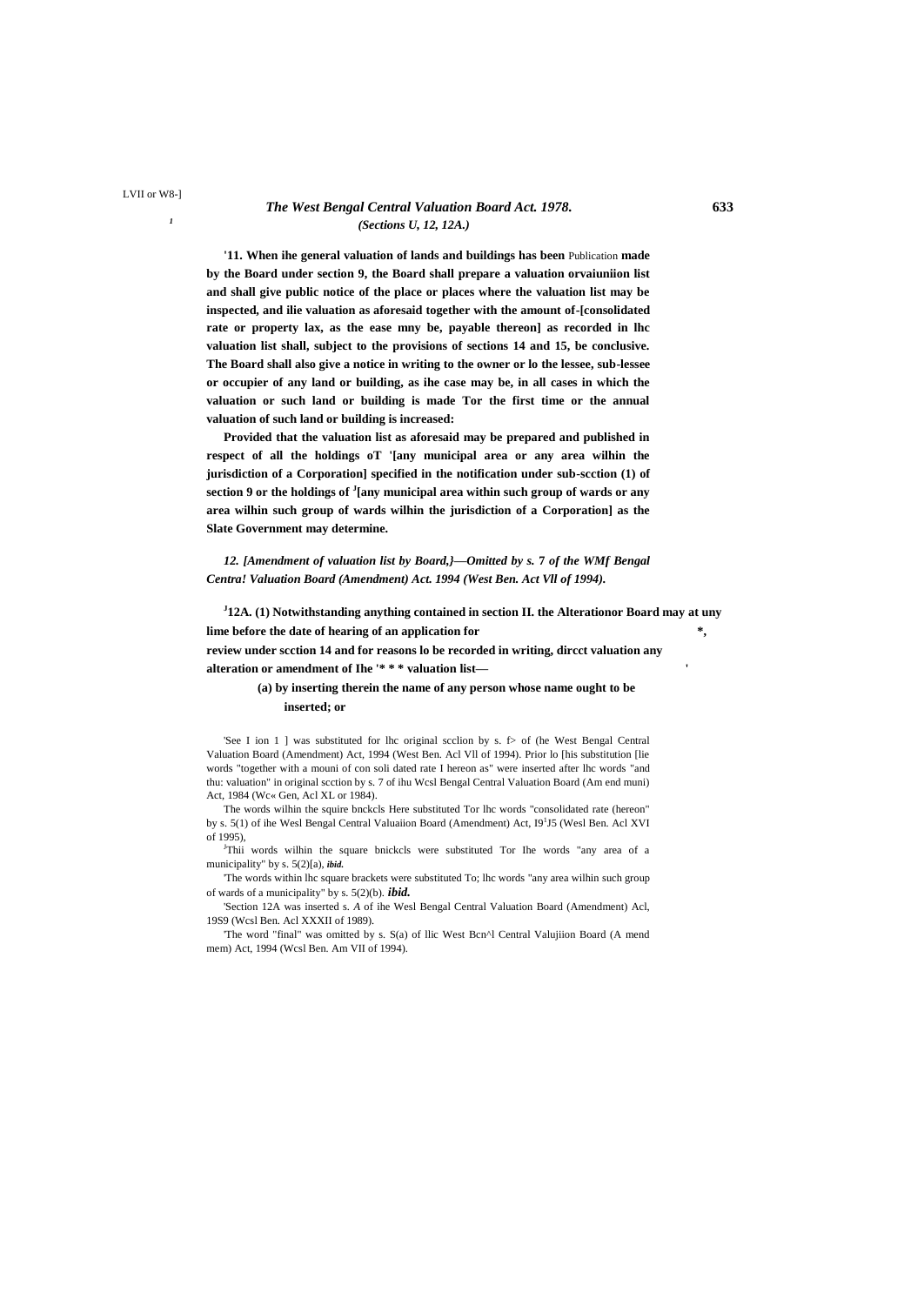#### *The West Bengal Central Valuation Board Act. 1978.* **633** *(Sections U, 12, 12A.)*

**'11. When ihe general valuation of lands and buildings has been** Publication **made by the Board under section 9, the Board shall prepare a valuation orvaiuniion list and shall give public notice of the place or places where the valuation list may be inspected, and ilie valuation as aforesaid together with the amount of-[consolidated rate or property lax, as the ease mny be, payable thereon] as recorded in lhc valuation list shall, subject to the provisions of sections 14 and 15, be conclusive. The Board shall also give a notice in writing to the owner or lo the lessee, sub-lessee or occupier of any land or building, as ihe case may be, in all cases in which the valuation or such land or building is made Tor the first time or the annual valuation of such land or building is increased:**

**Provided that the valuation list as aforesaid may be prepared and published in respect of all the holdings oT '[any municipal area or any area wilhin the jurisdiction of a Corporation] specified in the notification under sub-scction (1) of section 9 or the holdings of <sup>J</sup> [any municipal area within such group of wards or any area wilhin such group of wards wilhin the jurisdiction of a Corporation] as the Slate Government may determine.**

*12. [Amendment of valuation list by Board,}—Omitted by s.* **7** *of the WMf Bengal Centra! Valuation Board (Amendment) Act. 1994 (West Ben. Act Vll of 1994).*

**J 12A. (1) Notwithstanding anything contained in section II. the Alterationor Board may at uny lime before the date of hearing of an application for \*, review under scction 14 and for reasons lo be recorded in writing, dircct valuation any alteration or amendment of Ihe '\* \* \* valuation list— '**

#### **(a) by inserting therein the name of any person whose name ought to be inserted; or**

'See I ion 1 ] was substituted for lhc original scclion by s.  $f$  of (he West Bengal Central Valuation Board (Amendment) Act, 1994 (West Ben. Acl Vll of 1994). Prior lo [his substitution [lie words "together with a mouni of con soli dated rate I hereon as" were inserted after lhc words "and thu: valuation" in original scction by s. 7 of ihu Wcsl Bengal Central Valuation Board (Am end muni) Act, 1984 (Wc« Gen, Acl XL or 1984).

The words wilhin the squire bnckcls Here substituted Tor lhc words "consolidated rate (hereon" by s. 5(1) of ihe Wesl Bengal Central Valuaiion Board (Amendment) Act, I9<sup>1</sup>J5 (Wesl Ben. Acl XVI of 1995),

<sup>J</sup>Thii words wilhin the square bnickcls were substituted Tor Ihe words "any area of a municipality" by s. 5(2)[a), *ibid.*

'The words within lhc square brackets were substituted To; lhc words "any area wilhin such group of wards of a municipality" by s. 5(2)(b). *ibid.*

'Section 12A was inserted s. *A* of ihe Wesl Bengal Central Valuation Board (Amendment) Acl, 19S9 (Wcsl Ben. Acl XXXII of 1989).

'The word "final" was omitted by s. S(a) of llic West Bcn^l Central Valujiion Board (A mend mem) Act, 1994 (Wcsl Ben. Am VII of 1994).

*1*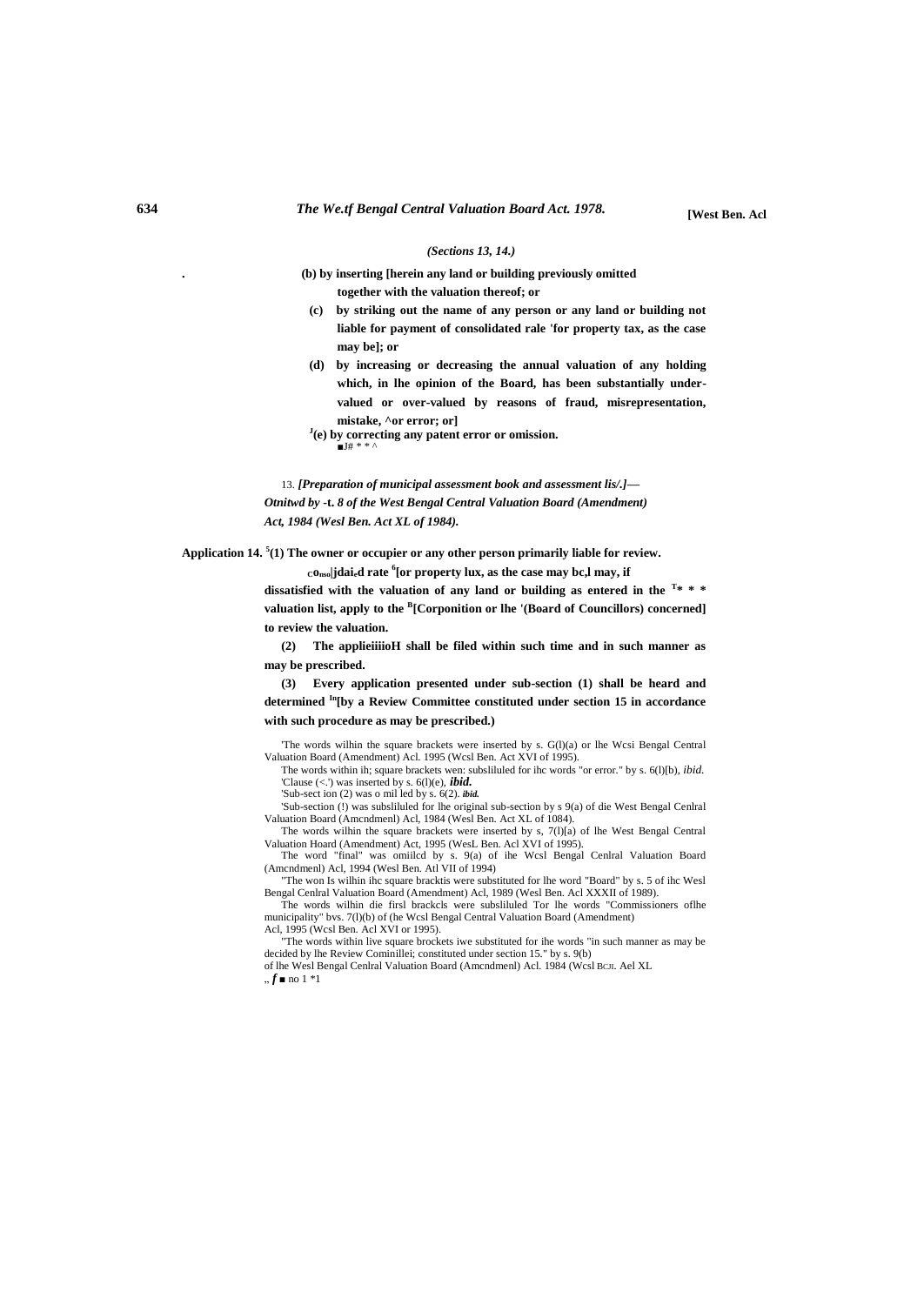#### *(Sections 13, 14.)*

**. (b) by inserting [herein any land or building previously omitted together with the valuation thereof; or**

- **(c) by striking out the name of any person or any land or building not liable for payment of consolidated rale 'for property tax, as the case may be]; or**
- **(d) by increasing or decreasing the annual valuation of any holding which, in lhe opinion of the Board, has been substantially undervalued or over-valued by reasons of fraud, misrepresentation, mistake, ^or error; or]**
- **J (e) by correcting any patent error or omission.**  $\blacksquare$ J# \* \*  $\cdot$

13. *[Preparation of municipal assessment book and assessment lis/.]— Otnitwd by* **-t.** *8 of the West Bengal Central Valuation Board (Amendment) Act, 1984 (Wesl Ben. Act XL of 1984).*

**Application 14. <sup>5</sup> (1) The owner or occupier or any other person primarily liable for review.**

**Conso|jdaied rate <sup>6</sup> [or property lux, as the case may bc,l may, if**

**dissatisfied with the valuation of any land or building as entered in the <sup>T</sup> \* \* \***  valuation list, apply to the <sup>B</sup>[Corponition or lhe '(Board of Councillors) concerned] **to review the valuation.**

**(2) The applieiiiioH shall be filed within such time and in such manner as may be prescribed.**

**(3) Every application presented under sub-section (1) shall be heard and determined In[by a Review Committee constituted under section 15 in accordance with such procedure as may be prescribed.)**

'The words wilhin the square brackets were inserted by s. G(l)(a) or lhe Wcsi Bengal Central Valuation Board (Amendment) Acl. 1995 (Wcsl Ben. Act XVI of 1995).

The words within ih; square brackets wen: subsliluled for ihc words "or error." by s. 6(l)[b), *ibid.* 'Clause (<.') was inserted by s. 6(l)(e), *ibid.* 'Sub-sect ion (2) was o mil led by s. 6(2). *ibid.*

'Sub-section (!) was subsliluled for lhe original sub-section by s 9(a) of die West Bengal Cenlral Valuation Board (Amcndmenl) Acl, 1984 (Wesl Ben. Act XL of 1084).

The words wilhin the square brackets were inserted by s, 7(l)[a) of lhe West Bengal Central Valuation Hoard (Amendment) Act, 1995 (WesL Ben. Acl XVI of 1995).

The word "final" was omiilcd by s. 9(a) of ihe Wcsl Bengal Cenlral Valuation Board (Amcndmenl) Acl, 1994 (Wesl Ben. Atl VII of 1994)

"The won Is wilhin ihc square bracktis were substituted for lhe word "Board" by s. 5 of ihc Wesl Bengal Cenlral Valuation Board (Amendment) Acl, 1989 (Wesl Ben. Acl XXXII of 1989).

The words wilhin die firsl brackcls were subsliluled Tor lhe words "Commissioners oflhe municipality" bvs. 7(l)(b) of (he Wcsl Bengal Central Valuation Board (Amendment) Acl, 1995 (Wcsl Ben. Acl XVI or 1995).

"The words within live square brockets iwe substituted for ihe words "in such manner as may be decided by lhe Review Cominillei; constituted under section 15." by s. 9(b)

of lhe Wesl Bengal Cenlral Valuation Board (Amcndmenl) Acl. 1984 (Wcsl BCJI. Ael XL  $, f \blacksquare$  no 1 \*1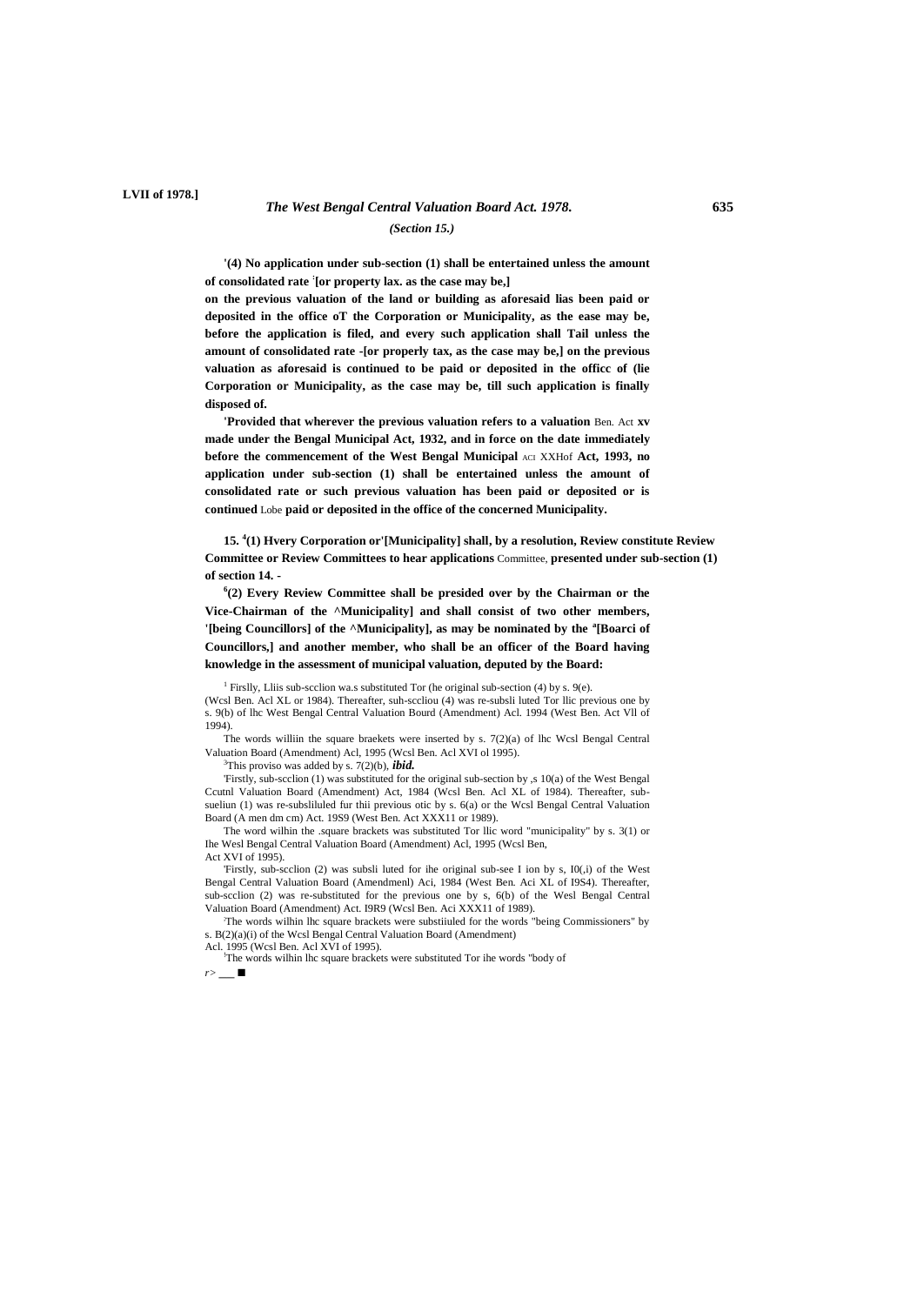### *The West Bengal Central Valuation Board Act. 1978.* **635** *(Section 15.)*

**'(4) No application under sub-section (1) shall be entertained unless the amount of consolidated rate : [or property lax. as the case may be,]**

**on the previous valuation of the land or building as aforesaid lias been paid or deposited in the office oT the Corporation or Municipality, as the ease may be, before the application is filed, and every such application shall Tail unless the amount of consolidated rate -[or properly tax, as the case may be,] on the previous valuation as aforesaid is continued to be paid or deposited in the officc of (lie Corporation or Municipality, as the case may be, till such application is finally disposed of.**

**'Provided that wherever the previous valuation refers to a valuation** Ben. Act **xv made under the Bengal Municipal Act, 1932, and in force on the date immediately before the commencement of the West Bengal Municipal** ACI XXHof **Act, 1993, no application under sub-section (1) shall be entertained unless the amount of consolidated rate or such previous valuation has been paid or deposited or is continued** Lobe **paid or deposited in the office of the concerned Municipality.**

**15. <sup>4</sup> (1) Hvery Corporation or'[Municipality] shall, by a resolution, Review constitute Review Committee or Review Committees to hear applications** Committee, **presented under sub-section (1) of section 14. -**

**6 (2) Every Review Committee shall be presided over by the Chairman or the Vice-Chairman of the ^Municipality] and shall consist of two other members, '[being Councillors] of the ^Municipality], as may be nominated by the <sup>a</sup> [Boarci of Councillors,] and another member, who shall be an officer of the Board having knowledge in the assessment of municipal valuation, deputed by the Board:**

<sup>1</sup> Firslly, Lliis sub-section wa.s substituted Tor (he original sub-section (4) by s. 9(e).

(Wcsl Ben. Acl XL or 1984). Thereafter, suh-sccliou (4) was re-subsli luted Tor llic previous one by s. 9(b) of lhc West Bengal Central Valuation Bourd (Amendment) Acl. 1994 (West Ben. Act Vll of 1994).

The words williin the square braekets were inserted by s. 7(2)(a) of lhc Wcsl Bengal Central Valuation Board (Amendment) Acl, 1995 (Wcsl Ben. Acl XVI ol 1995).

<sup>3</sup>This proviso was added by s. 7(2)(b), *ibid.*

'Firstly, sub-scclion (1) was substituted for the original sub-section by ,s 10(a) of the West Bengal Ccutnl Valuation Board (Amendment) Act, 1984 (Wcsl Ben. Acl XL of 1984). Thereafter, subsueliun (1) was re-subsliluled fur thii previous otic by s. 6(a) or the Wcsl Bengal Central Valuation Board (A men dm cm) Act. 19S9 (West Ben. Act XXX11 or 1989).

The word wilhin the .square brackets was substituted Tor llic word "municipality" by s. 3(1) or Ihe Wesl Bengal Central Valuation Board (Amendment) Acl, 1995 (Wcsl Ben, Act XVI of 1995).

'Firstly, sub-scclion (2) was subsli luted for ihe original sub-see I ion by s, I0(,i) of the West Bengal Central Valuation Board (Amendmenl) Aci, 1984 (West Ben. Aci XL of I9S4). Thereafter, sub-scclion (2) was re-substituted for the previous one by s, 6(b) of the Wesl Bengal Central Valuation Board (Amendment) Act. I9R9 (Wcsl Ben. Aci XXX11 of 1989).

;The words wilhin lhc square brackets were substiiuled for the words "being Commissioners" by s. B(2)(a)(i) of the Wcsl Bengal Central Valuation Board (Amendment)

Acl. 1995 (Wcsl Ben. Acl XVI of 1995).

!The words wilhin lhc square brackets were substituted Tor ihe words "body of *r>* \_\_ ■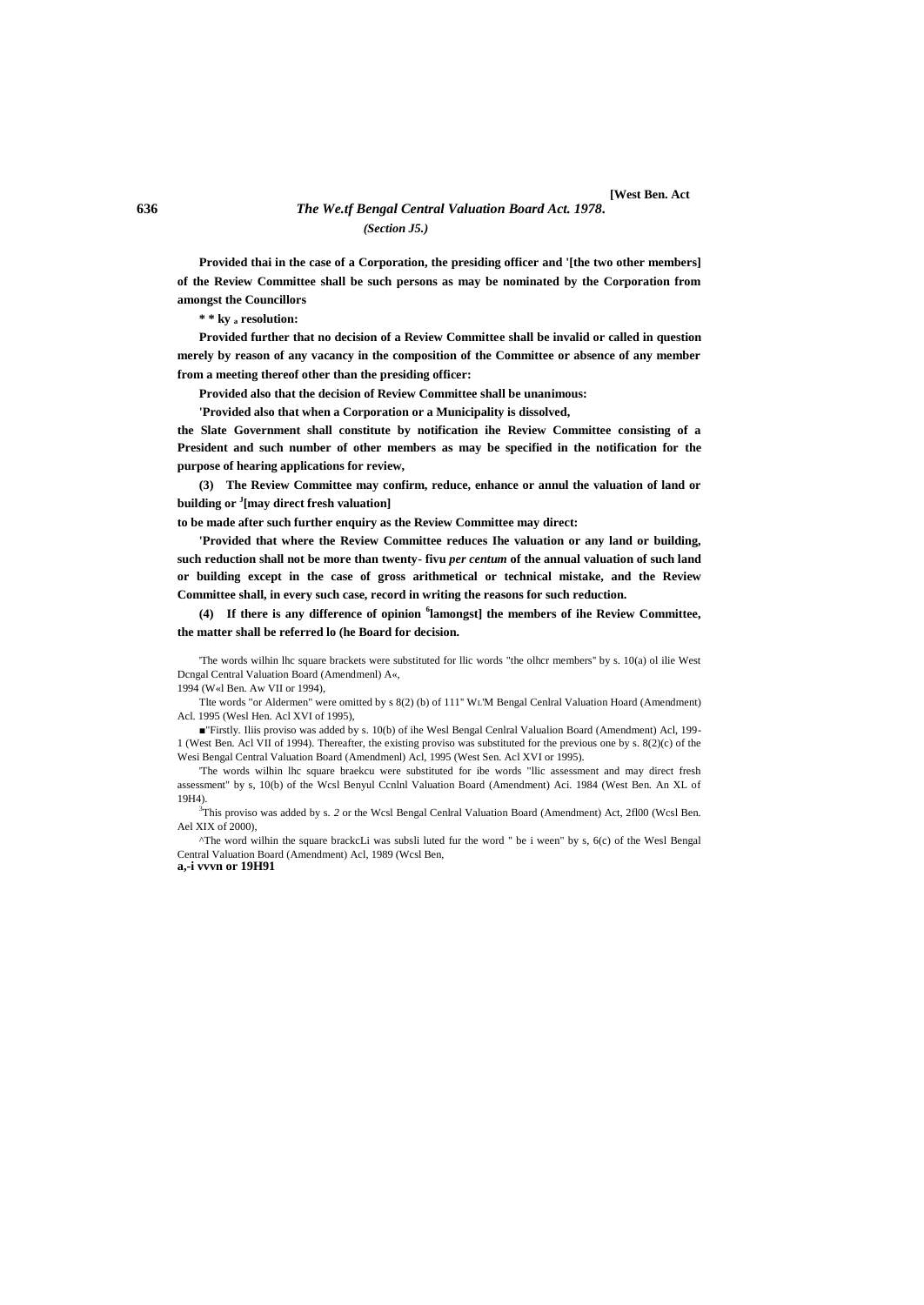#### **636** *The We.tf Bengal Central Valuation Board Act. 1978.* **[West Ben. Act** *(Section J5.)*

**Provided thai in the case of a Corporation, the presiding officer and '[the two other members] of the Review Committee shall be such persons as may be nominated by the Corporation from amongst the Councillors**

**\* \* ky <sup>a</sup> resolution:**

**Provided further that no decision of a Review Committee shall be invalid or called in question merely by reason of any vacancy in the composition of the Committee or absence of any member from a meeting thereof other than the presiding officer:**

**Provided also that the decision of Review Committee shall be unanimous:**

**'Provided also that when a Corporation or a Municipality is dissolved,**

**the Slate Government shall constitute by notification ihe Review Committee consisting of a President and such number of other members as may be specified in the notification for the purpose of hearing applications for review,**

**(3) The Review Committee may confirm, reduce, enhance or annul the valuation of land or building or <sup>J</sup> [may direct fresh valuation]**

**to be made after such further enquiry as the Review Committee may direct:**

**'Provided that where the Review Committee reduces Ihe valuation or any land or building, such reduction shall not be more than twenty- fivu** *per centum* **of the annual valuation of such land or building except in the case of gross arithmetical or technical mistake, and the Review Committee shall, in every such case, record in writing the reasons for such reduction.**

**(4) If there is any difference of opinion <sup>6</sup> lamongst] the members of ihe Review Committee, the matter shall be referred lo (he Board for decision.**

'The words wilhin lhc square brackets were substituted for llic words "the olhcr members'' by s. 10(a) ol ilie West Dcngal Central Valuation Board (Amendmenl) A«, 1994 (W«l Ben. Aw VII or 1994),

Tlte words "or Aldermen" were omitted by s 8(2) (b) of 111'' WL'M Bengal Cenlral Valuation Hoard (Amendment) Acl. 1995 (Wesl Hen. Acl XVI of 1995),

■"Firstly. Iliis proviso was added by s. 10(b) of ihe Wesl Bengal Cenlral Valualion Board (Amendment) Acl, 199- 1 (West Ben. Acl VII of 1994). Thereafter, the existing proviso was substituted for the previous one by s. 8(2)(c) of the Wesi Bengal Central Valuation Board (Amendmenl) Acl, 1995 (West Sen. Acl XVI or 1995).

'The words wilhin lhc square braekcu were substituted for ibe words "llic assessment and may direct fresh assessment" by s, 10(b) of the Wcsl Benyul Ccnlnl Valuation Board (Amendment) Aci. 1984 (West Ben. An XL of 19H4).

<sup>3</sup>This proviso was added by s. *2* or the Wcsl Bengal Cenlral Valuation Board (Amendment) Act, 2fl00 (Wcsl Ben. Ael XIX of 2000),

^The word wilhin the square brackcLi was subsli luted fur the word " be i ween" by s, 6(c) of the Wesl Bengal Central Valuation Board (Amendment) Acl, 1989 (Wcsl Ben, **a,-i vvvn or 19H91**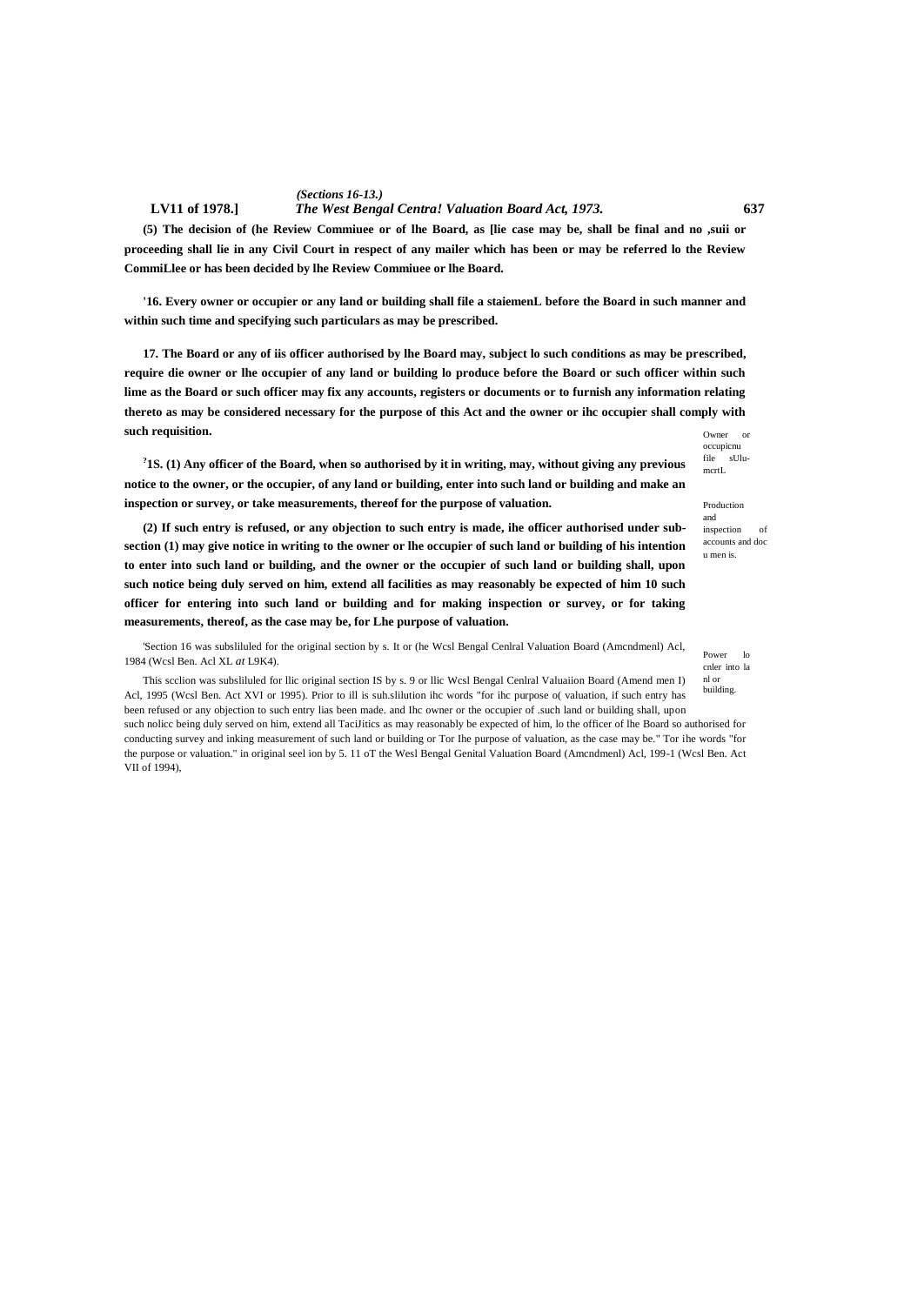**(5) The decision of (he Review Commiuee or of lhe Board, as [lie case may be, shall be final and no ,suii or proceeding shall lie in any Civil Court in respect of any mailer which has been or may be referred lo the Review CommiLlee or has been decided by lhe Review Commiuee or lhe Board.**

**'16. Every owner or occupier or any land or building shall file a staiemenL before the Board in such manner and within such time and specifying such particulars as may be prescribed.**

Owner or **17. The Board or any of iis officer authorised by lhe Board may, subject lo such conditions as may be prescribed, require die owner or lhe occupier of any land or building lo produce before the Board or such officer within such lime as the Board or such officer may fix any accounts, registers or documents or to furnish any information relating thereto as may be considered necessary for the purpose of this Act and the owner or ihc occupier shall comply with such requisition.**

**? 1S. (1) Any officer of the Board, when so authorised by it in writing, may, without giving any previous notice to the owner, or the occupier, of any land or building, enter into such land or building and make an inspection or survey, or take measurements, thereof for the purpose of valuation.**

occupicnu file sUlumcrtL

Production and inspection of accounts and doc u men is.

Power lo cnler into la nl or building.

**(2) If such entry is refused, or any objection to such entry is made, ihe officer authorised under subsection (1) may give notice in writing to the owner or lhe occupier of such land or building of his intention to enter into such land or building, and the owner or the occupier of such land or building shall, upon such notice being duly served on him, extend all facilities as may reasonably be expected of him 10 such officer for entering into such land or building and for making inspection or survey, or for taking measurements, thereof, as the case may be, for Lhe purpose of valuation.**

'Section 16 was subsliluled for the original section by s. It or (he Wcsl Bengal Cenlral Valuation Board (Amcndmenl) Acl, 1984 (Wcsl Ben. Acl XL *at* L9K4).

This scclion was subsliluled for llic original section IS by s. 9 or llic Wcsl Bengal Cenlral Valuaiion Board (Amend men I) Acl, 1995 (Wcsl Ben. Act XVI or 1995). Prior to ill is suh.slilution ihc words "for ihc purpose o( valuation, if such entry has been refused or any objection to such entry lias been made. and Ihc owner or the occupier of .such land or building shall, upon such nolicc being duly served on him, extend all TaciJitics as may reasonably be expected of him, lo the officer of lhe Board so authorised for

conducting survey and inking measurement of such land or building or Tor Ihe purpose of valuation, as the case may be." Tor ihe words "for the purpose or valuation." in original seel ion by 5. 11 oT the Wesl Bengal Genital Valuation Board (Amcndmenl) Acl, 199-1 (Wcsl Ben. Act VII of 1994),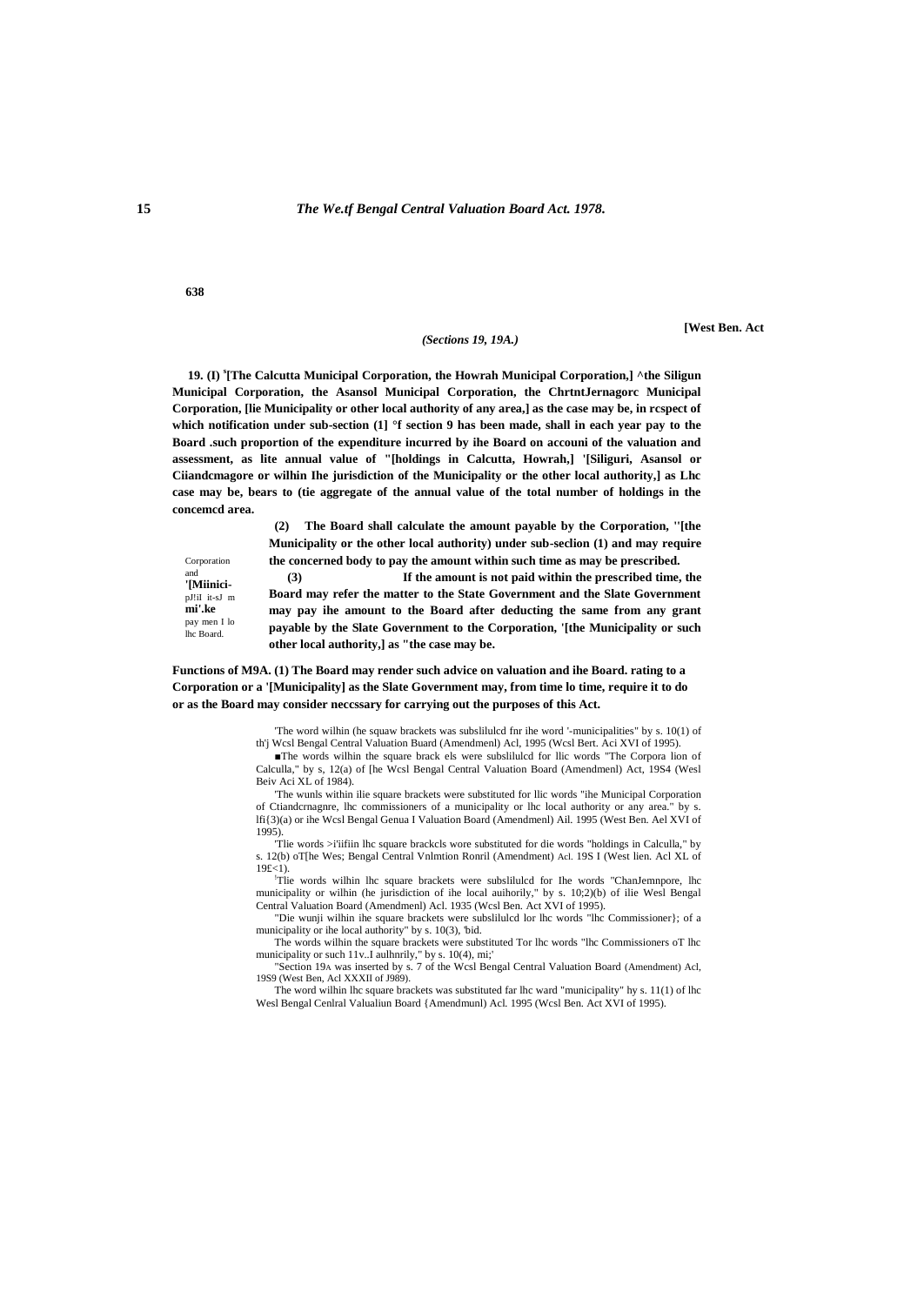#### **15** *The We.tf Bengal Central Valuation Board Act. 1978.*

**638**

Corporation and **'[Miinici**pJ!iI it-sJ m **mi'.ke** pay men I lo lhc Board.

#### *(Sections 19, 19A.)*

**[West Ben. Act**

**19. (I) <sup>s</sup> [The Calcutta Municipal Corporation, the Howrah Municipal Corporation,] ^the Siligun Municipal Corporation, the Asansol Municipal Corporation, the ChrtntJernagorc Municipal Corporation, [lie Municipality or other local authority of any area,] as the case may be, in rcspect of which notification under sub-section (1] °f section 9 has been made, shall in each year pay to the Board .such proportion of the expenditure incurred by ihe Board on accouni of the valuation and assessment, as lite annual value of "[holdings in Calcutta, Howrah,] '[Siliguri, Asansol or Ciiandcmagore or wilhin Ihe jurisdiction of the Municipality or the other local authority,] as Lhc case may be, bears to (tie aggregate of the annual value of the total number of holdings in the concemcd area.**

> **(2) The Board shall calculate the amount payable by the Corporation, ''[the Municipality or the other local authority) under sub-seclion (1) and may require the concerned body to pay the amount within such time as may be prescribed.**

**(3) If the amount is not paid within the prescribed time, the Board may refer the matter to the State Government and the Slate Government may pay ihe amount to the Board after deducting the same from any grant payable by the Slate Government to the Corporation, '[the Municipality or such other local authority,] as "the case may be.**

#### **Functions of M9A. (1) The Board may render such advice on valuation and ihe Board. rating to a Corporation or a '[Municipality] as the Slate Government may, from time lo time, require it to do or as the Board may consider neccssary for carrying out the purposes of this Act.**

'The word wilhin (he squaw brackets was subslilulcd fnr ihe word '-municipalities" by s. 10(1) of th'j Wcsl Bengal Central Valuation Buard (Amendmenl) Acl, 1995 (Wcsl Bert. Aci XVI of 1995).

■The words wilhin the square brack els were subslilulcd for llic words "The Corpora lion of Calculla," by s, 12(a) of [he Wcsl Bengal Central Valuation Board (Amendmenl) Act, 19S4 (Wesl Beiv Aci XL of 1984).

'The wunls within ilie square brackets were substituted for llic words "ihe Municipal Corporation of Ctiandcrnagnre, lhc commissioners of a municipality or lhc local authority or any area." by lfi{3)(a) or ihe Wcsl Bengal Genua I Valuation Board (Amendmenl) Ail. 1995 (West Ben. Ael XVI of 1995).

'Tlie words >i'iifiin lhc square brackcls wore substituted for die words "holdings in Calculla," by s. 12(b) oT[he Wes; Bengal Central Vnlmtion Ronril (Amendment) Acl. 19S I (West lien. Acl XL of 19£<1).

!Tlie words wilhin lhc square brackets were subslilulcd for Ihe words "ChanJemnpore, lhc municipality or wilhin (he jurisdiction of ihe local auihorily," by s. 10;2)(b) of ilie Wesl Bengal Central Valuation Board (Amendmenl) Acl. 1935 (Wcsl Ben. Act XVI of 1995).

"Die wunji wilhin ihe square brackets were subslilulcd lor lhc words "lhc Commissioner}; of a municipality or ihe local authority" by s. 10(3), 'bid.

The words wilhin the square brackets were substituted Tor lhc words "lhc Commissioners oT lhc municipality or such 11v..I aulhnrily," by s. 10(4), mi;'<br>"Section 19A was inserted by s. 7 of the Wcsl Bengal Central Valuation Board (Amendment) Acl,

19S9 (West Ben, Acl XXXII of J989).

The word wilhin lhc square brackets was substituted far lhc ward "municipality" hy s. 11(1) of lhc Wesl Bengal Cenlral Valualiun Board {Amendmunl) Acl. 1995 (Wcsl Ben. Act XVI of 1995).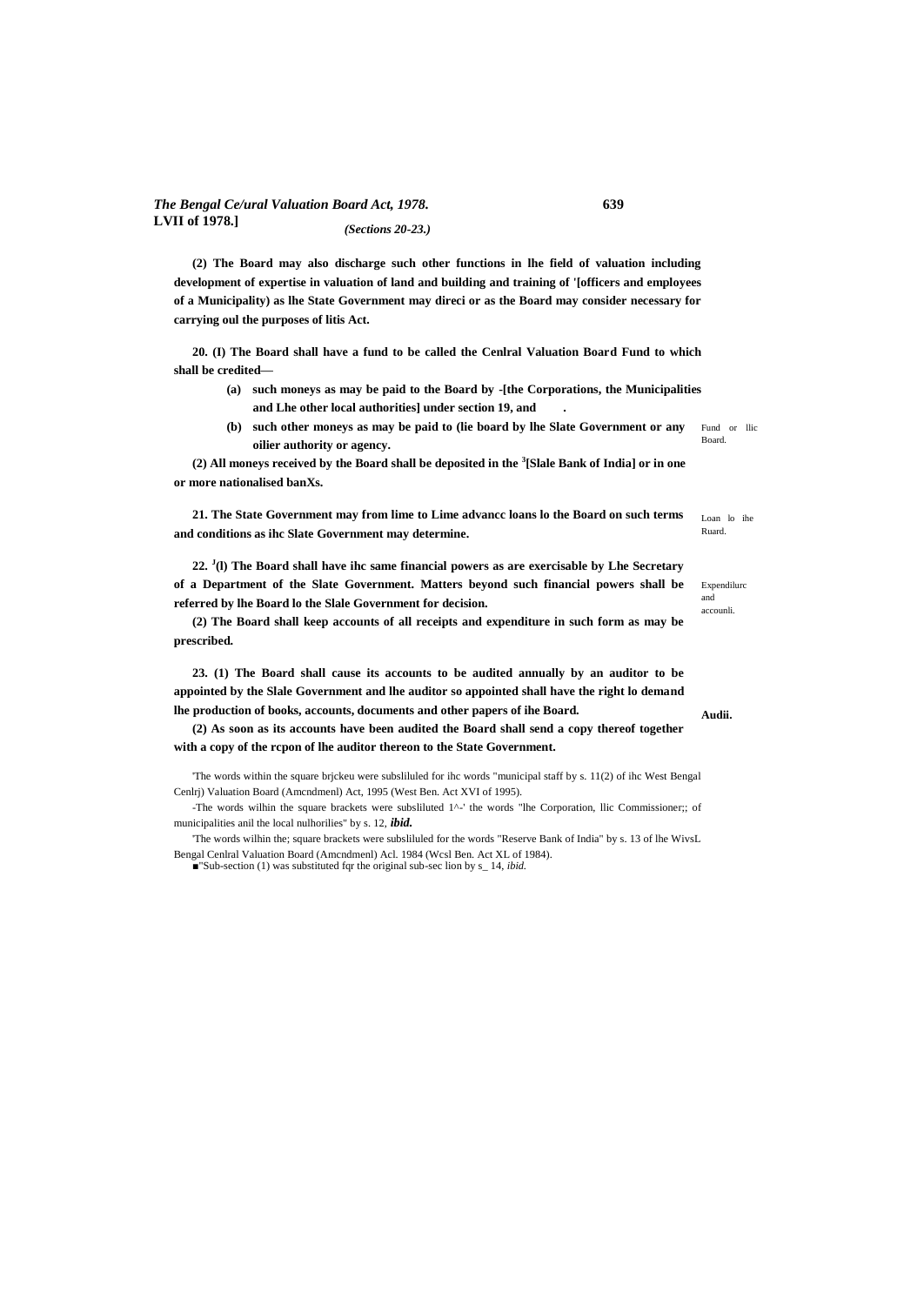#### *The Bengal Ce/ural Valuation Board Act, 1978.* **639 LVII of 1978.]** *(Sections 20-23.)*

**(2) The Board may also discharge such other functions in lhe field of valuation including development of expertise in valuation of land and building and training of '[officers and employees of a Municipality) as lhe State Government may direci or as the Board may consider necessary for carrying oul the purposes of litis Act.**

**20. (I) The Board shall have a fund to be called the Cenlral Valuation Board Fund to which shall be credited—**

- **(a) such moneys as may be paid to the Board by -[the Corporations, the Municipalities and Lhe other local authorities] under section 19, and .**
- Fund or llic Board. **(b) such other moneys as may be paid to (lie board by lhe Slate Government or any oilier authority or agency.**

**(2) All moneys received by the Board shall be deposited in the <sup>3</sup> [Slale Bank of India] or in one or more nationalised banXs.**

**21. The State Government may from lime to Lime advancc loans lo the Board on such terms and conditions as ihc Slate Government may determine.**

**22. <sup>J</sup> (l) The Board shall have ihc same financial powers as are exercisable by Lhe Secretary of a Department of the Slate Government. Matters beyond such financial powers shall be referred by lhe Board lo the Slale Government for decision.**

**(2) The Board shall keep accounts of all receipts and expenditure in such form as may be prescribed.**

**23. (1) The Board shall cause its accounts to be audited annually by an auditor to be appointed by the Slale Government and lhe auditor so appointed shall have the right lo demand lhe production of books, accounts, documents and other papers of ihe Board.**

**(2) As soon as its accounts have been audited the Board shall send a copy thereof together with a copy of the rcpon of lhe auditor thereon to the State Government.**

'The words within the square brjckeu were subsliluled for ihc words "municipal staff by s. 11(2) of ihc West Bengal Cenlrj) Valuation Board (Amcndmenl) Act, 1995 (West Ben. Act XVI of 1995).

-The words wilhin the square brackets were subsliluted 1^-' the words "lhe Corporation, llic Commissioner;; of municipalities anil the local nulhorilies" by s. 12, *ibid.*

'The words wilhin the; square brackets were subsliluled for the words "Reserve Bank of India" by s. 13 of lhe WivsL Bengal Cenlral Valuation Board (Amcndmenl) Acl. 1984 (Wcsl Ben. Act XL of 1984).

■"Sub-section (1) was substituted fqr the original sub-sec lion by s\_ 14, *ibid.* 

Loan lo ihe Ruard.

Expendilurc and accounli.

**Audii.**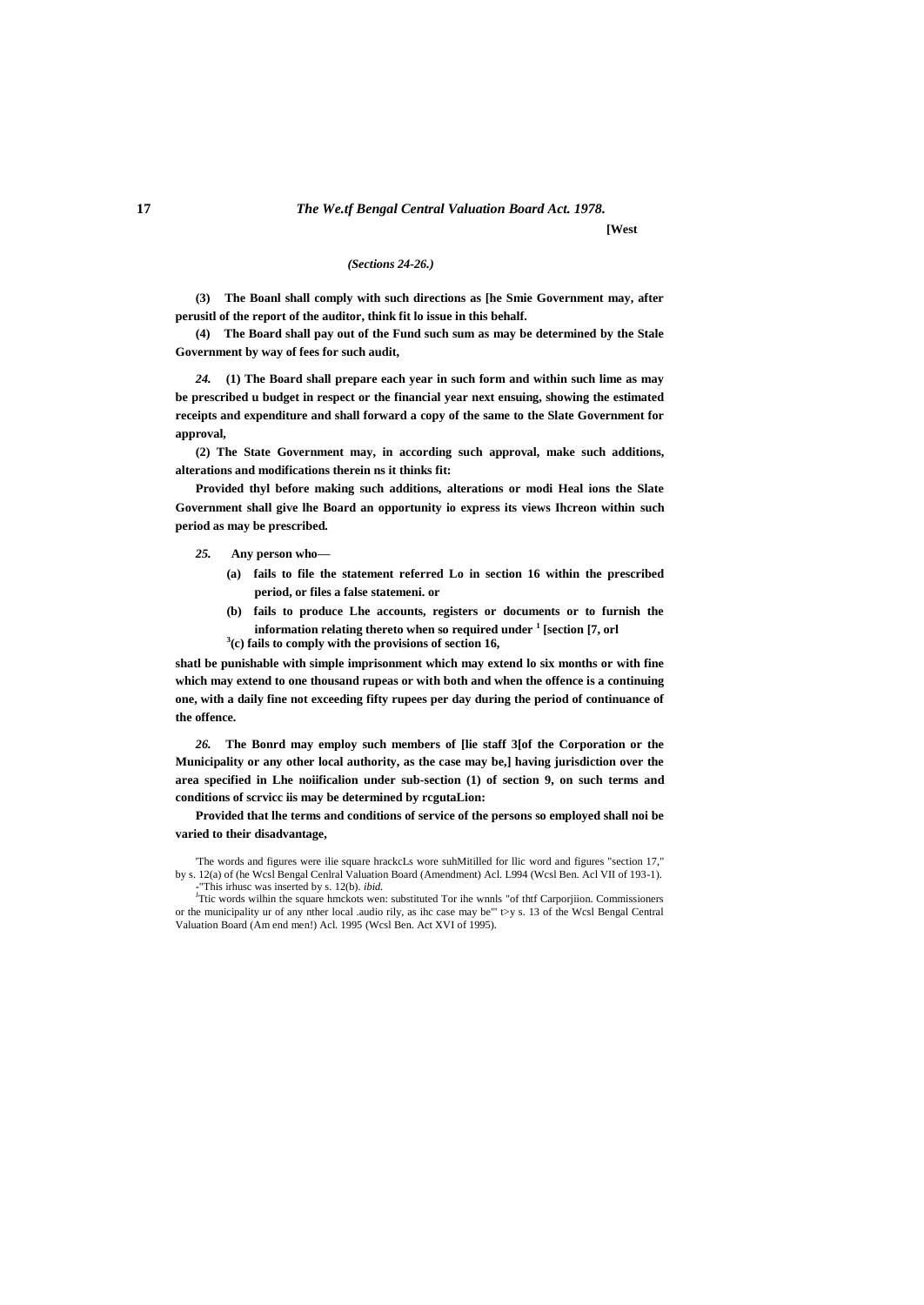### **17** *The We.tf Bengal Central Valuation Board Act. 1978.*

**[West**

#### *(Sections 24-26.)*

**(3) The Boanl shall comply with such directions as [he Smie Government may, after perusitl of the report of the auditor, think fit lo issue in this behalf.**

**(4) The Board shall pay out of the Fund such sum as may be determined by the Stale Government by way of fees for such audit,**

*24.* **(1) The Board shall prepare each year in such form and within such lime as may be prescribed u budget in respect or the financial year next ensuing, showing the estimated receipts and expenditure and shall forward a copy of the same to the Slate Government for approval,**

**(2) The State Government may, in according such approval, make such additions, alterations and modifications therein ns it thinks fit:**

**Provided thyl before making such additions, alterations or modi Heal ions the Slate Government shall give lhe Board an opportunity io express its views Ihcreon within such period as may be prescribed.**

#### *25.* **Any person who—**

- **(a) fails to file the statement referred Lo in section 16 within the prescribed period, or files a false statemeni. or**
- **(b) fails to produce Lhe accounts, registers or documents or to furnish the information relating thereto when so required under <sup>1</sup> [section [7, orl 3 (c) fails to comply with the provisions of section 16,**

**shatl be punishable with simple imprisonment which may extend lo six months or with fine which may extend to one thousand rupeas or with both and when the offence is a continuing one, with a daily fine not exceeding fifty rupees per day during the period of continuance of the offence.**

*26.* **The Bonrd may employ such members of [lie staff 3[of the Corporation or the Municipality or any other local authority, as the case may be,] having jurisdiction over the area specified in Lhe noiificalion under sub-section (1) of section 9, on such terms and conditions of scrvicc iis may be determined by rcgutaLion:**

**Provided that lhe terms and conditions of service of the persons so employed shall noi be varied to their disadvantage,**

'The words and figures were ilie square hrackcLs wore suhMitilled for llic word and figures "section 17," by s. 12(a) of (he Wcsl Bengal Cenlral Valuation Board (Amendment) Acl. L994 (Wcsl Ben. Acl VII of 193-1). -"This irhusc was inserted by s. 12(b). *ibid.*

<sup>J</sup>Ttic words wilhin the square hmckots wen: substituted Tor ihe wnnls "of thtf Carporjiion. Commissioners or the municipality ur of any nther local .audio rily, as ihc case may be" t>y s. 13 of the Wcsl Bengal Central Valuation Board (Am end men!) Acl. 1995 (Wcsl Ben. Act XVI of 1995).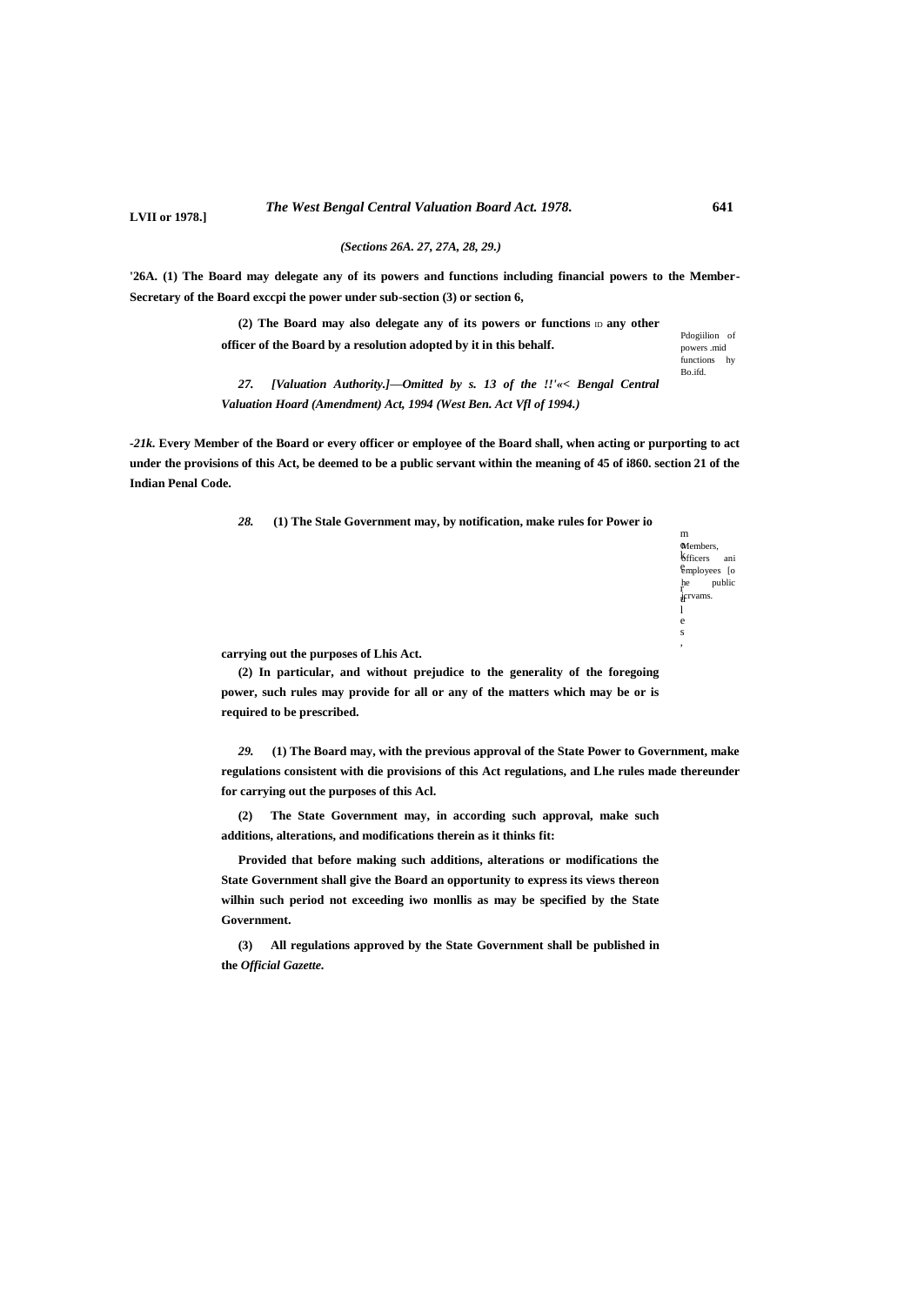**LVII or 1978.]**

*(Sections 26A. 27, 27A, 28, 29.)*

**'26A. (1) The Board may delegate any of its powers and functions including financial powers to the Member-Secretary of the Board exccpi the power under sub-section (3) or section 6,**

> (2) The Board may also delegate any of its powers or functions  $D$  any other **officer of the Board by a resolution adopted by it in this behalf.**

Pdogiilion of powers .mid functions hy Bo.ifd.

*27. [Valuation Authority.]—Omitted by s. 13 of the !!'«< Bengal Central Valuation Hoard (Amendment) Act, 1994 (West Ben. Act Vfl of 1994.)*

*-21k.* **Every Member of the Board or every officer or employee of the Board shall, when acting or purporting to act under the provisions of this Act, be deemed to be a public servant within the meaning of 45 of i860. section 21 of the Indian Penal Code.**

*28.* **(1) The Stale Government may, by notification, make rules for Power io**

Members, **k**fficers ani employees [o e public jcrvams. u m r l e s ,

**carrying out the purposes of Lhis Act.**

**(2) In particular, and without prejudice to the generality of the foregoing power, such rules may provide for all or any of the matters which may be or is required to be prescribed.**

*29.* **(1) The Board may, with the previous approval of the State Power to Government, make regulations consistent with die provisions of this Act regulations, and Lhe rules made thereunder for carrying out the purposes of this Acl.**

**(2) The State Government may, in according such approval, make such additions, alterations, and modifications therein as it thinks fit:**

**Provided that before making such additions, alterations or modifications the State Government shall give the Board an opportunity to express its views thereon wilhin such period not exceeding iwo monllis as may be specified by the State Government.**

**(3) All regulations approved by the State Government shall be published in the** *Official Gazette.*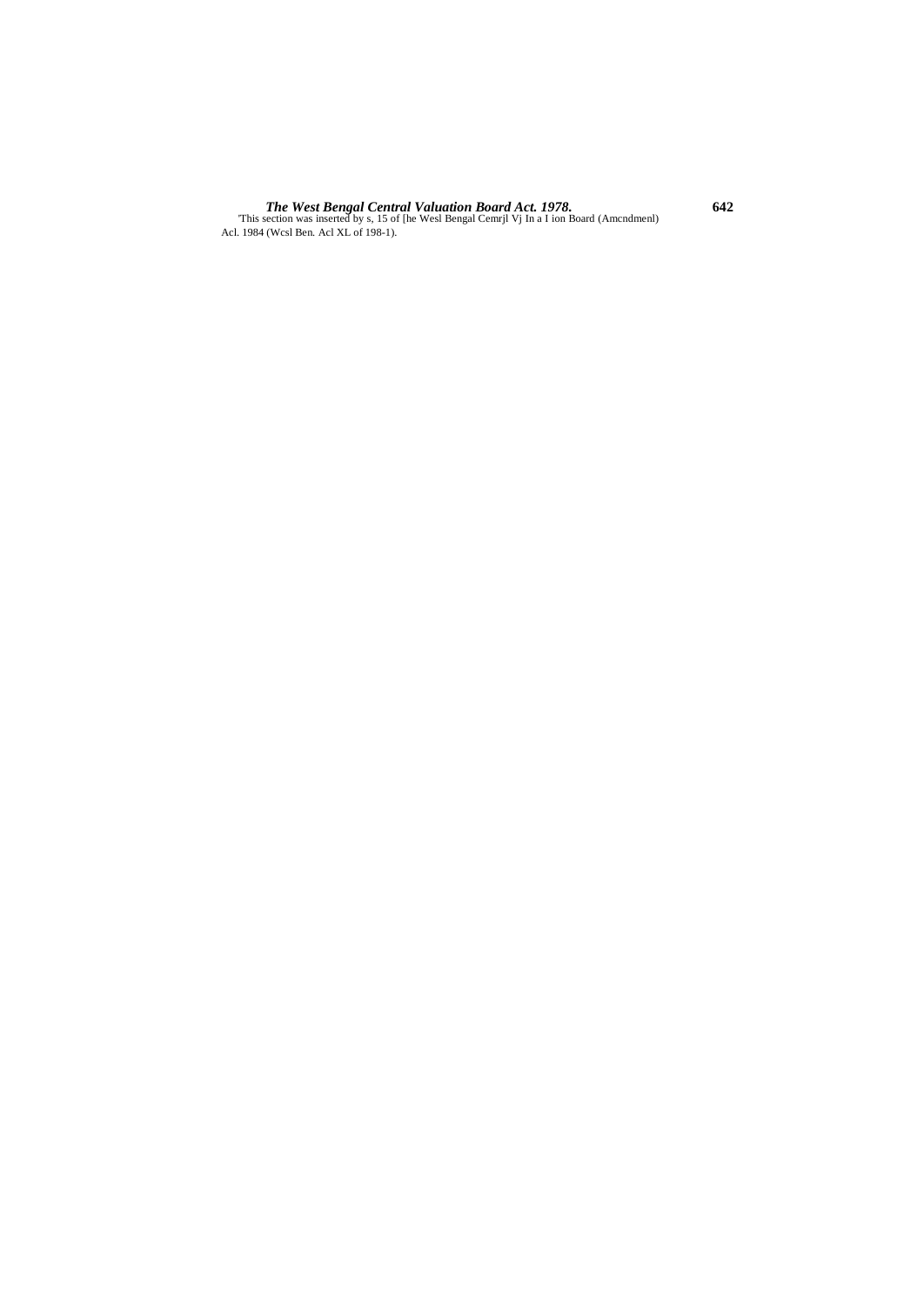**The West Bengal Central Valuation Board Act. 1978.**<br>This section was inserted by s, 15 of [he West Bengal Cemrjl Vj In a I ion Board (Amcndmenl) Acl. 1984 (West Ben. Act XL of 198-1).